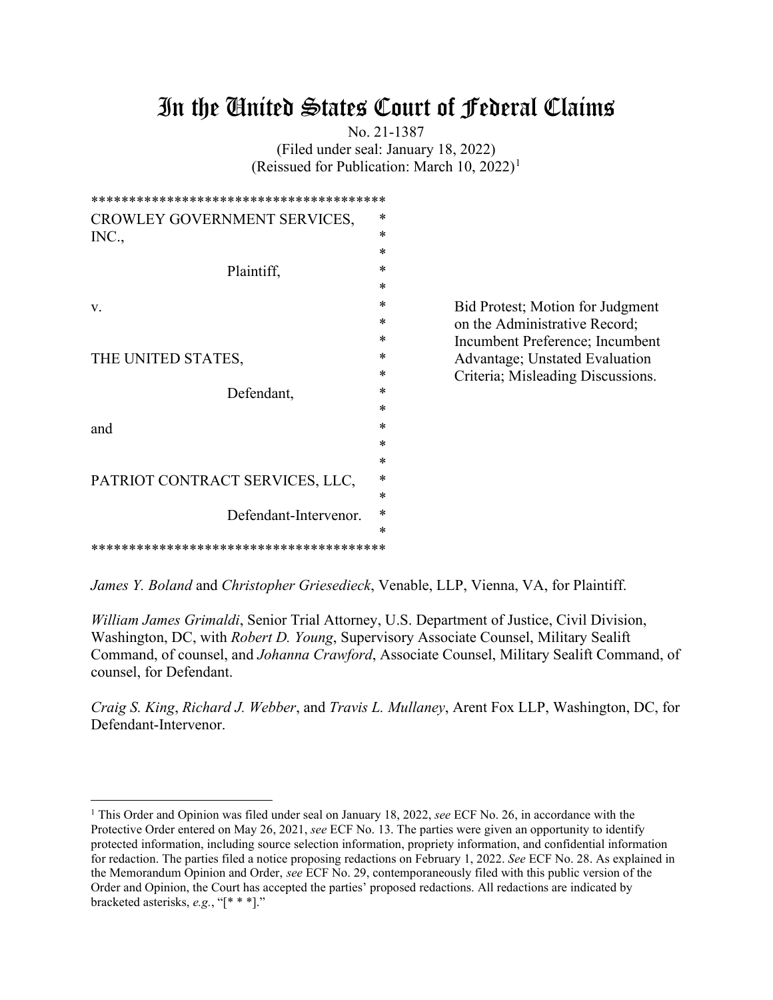# In the United States Court of Federal Claims

No. 21-1387 (Filed under seal: January 18, 2022) (Reissued for Publication: March [1](#page-0-0)0, 2022)<sup>1</sup>

| CROWLEY GOVERNMENT SERVICES,    | *      |                                   |
|---------------------------------|--------|-----------------------------------|
| INC.,                           | *      |                                   |
|                                 | *      |                                   |
| Plaintiff,                      | *      |                                   |
|                                 | $\ast$ |                                   |
| v.                              | *      | Bid Protest; Motion for Judgment  |
|                                 | *      | on the Administrative Record;     |
|                                 | ∗      | Incumbent Preference; Incumbent   |
| THE UNITED STATES,              | ∗      | Advantage; Unstated Evaluation    |
|                                 | *      | Criteria; Misleading Discussions. |
| Defendant,                      | *      |                                   |
|                                 | *      |                                   |
| and                             | *      |                                   |
|                                 | *      |                                   |
|                                 | *      |                                   |
| PATRIOT CONTRACT SERVICES, LLC, | *      |                                   |
|                                 | *      |                                   |
| Defendant-Intervenor.           | *      |                                   |
|                                 | *      |                                   |
|                                 |        |                                   |
|                                 |        |                                   |

*James Y. Boland* and *Christopher Griesedieck*, Venable, LLP, Vienna, VA, for Plaintiff.

*William James Grimaldi*, Senior Trial Attorney, U.S. Department of Justice, Civil Division, Washington, DC, with *Robert D. Young*, Supervisory Associate Counsel, Military Sealift Command, of counsel, and *Johanna Crawford*, Associate Counsel, Military Sealift Command, of counsel, for Defendant.

*Craig S. King*, *Richard J. Webber*, and *Travis L. Mullaney*, Arent Fox LLP, Washington, DC, for Defendant-Intervenor.

<span id="page-0-0"></span><sup>1</sup> This Order and Opinion was filed under seal on January 18, 2022, *see* ECF No. 26, in accordance with the Protective Order entered on May 26, 2021, *see* ECF No. 13. The parties were given an opportunity to identify protected information, including source selection information, propriety information, and confidential information for redaction. The parties filed a notice proposing redactions on February 1, 2022. *See* ECF No. 28. As explained in the Memorandum Opinion and Order, *see* ECF No. 29, contemporaneously filed with this public version of the Order and Opinion, the Court has accepted the parties' proposed redactions. All redactions are indicated by bracketed asterisks, *e.g.*, "[\* \* \*]."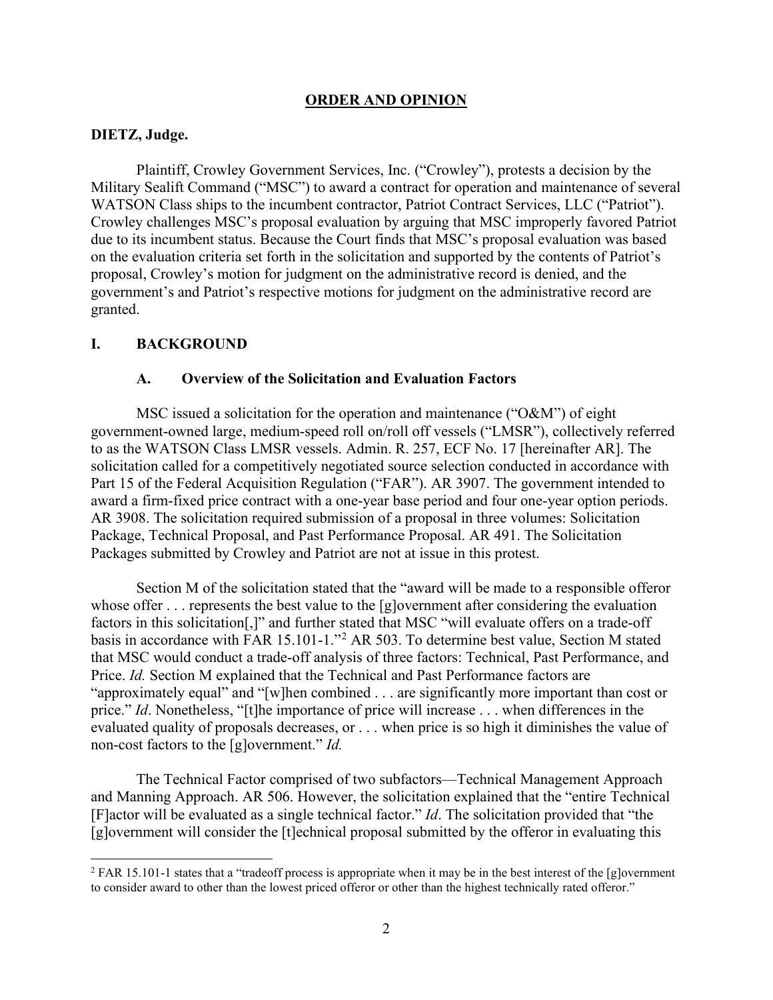#### **ORDER AND OPINION**

#### **DIETZ, Judge.**

Plaintiff, Crowley Government Services, Inc. ("Crowley"), protests a decision by the Military Sealift Command ("MSC") to award a contract for operation and maintenance of several WATSON Class ships to the incumbent contractor, Patriot Contract Services, LLC ("Patriot"). Crowley challenges MSC's proposal evaluation by arguing that MSC improperly favored Patriot due to its incumbent status. Because the Court finds that MSC's proposal evaluation was based on the evaluation criteria set forth in the solicitation and supported by the contents of Patriot's proposal, Crowley's motion for judgment on the administrative record is denied, and the government's and Patriot's respective motions for judgment on the administrative record are granted.

#### **I. BACKGROUND**

#### **A. Overview of the Solicitation and Evaluation Factors**

MSC issued a solicitation for the operation and maintenance ("O&M") of eight government-owned large, medium-speed roll on/roll off vessels ("LMSR"), collectively referred to as the WATSON Class LMSR vessels. Admin. R. 257, ECF No. 17 [hereinafter AR]. The solicitation called for a competitively negotiated source selection conducted in accordance with Part 15 of the Federal Acquisition Regulation ("FAR"). AR 3907. The government intended to award a firm-fixed price contract with a one-year base period and four one-year option periods. AR 3908. The solicitation required submission of a proposal in three volumes: Solicitation Package, Technical Proposal, and Past Performance Proposal. AR 491. The Solicitation Packages submitted by Crowley and Patriot are not at issue in this protest.

Section M of the solicitation stated that the "award will be made to a responsible offeror whose offer . . . represents the best value to the [g]overnment after considering the evaluation factors in this solicitation[,]" and further stated that MSC "will evaluate offers on a trade-off basis in accordance with FAR 15.101-1."[2](#page-1-0) AR 503. To determine best value, Section M stated that MSC would conduct a trade-off analysis of three factors: Technical, Past Performance, and Price. *Id.* Section M explained that the Technical and Past Performance factors are "approximately equal" and "[w]hen combined . . . are significantly more important than cost or price." *Id*. Nonetheless, "[t]he importance of price will increase . . . when differences in the evaluated quality of proposals decreases, or . . . when price is so high it diminishes the value of non-cost factors to the [g]overnment." *Id.*

The Technical Factor comprised of two subfactors—Technical Management Approach and Manning Approach. AR 506. However, the solicitation explained that the "entire Technical [F]actor will be evaluated as a single technical factor." *Id*. The solicitation provided that "the [g]overnment will consider the [t]echnical proposal submitted by the offeror in evaluating this

<span id="page-1-0"></span><sup>&</sup>lt;sup>2</sup> FAR 15.101-1 states that a "tradeoff process is appropriate when it may be in the best interest of the [g]overnment to consider award to other than the lowest priced offeror or other than the highest technically rated offeror."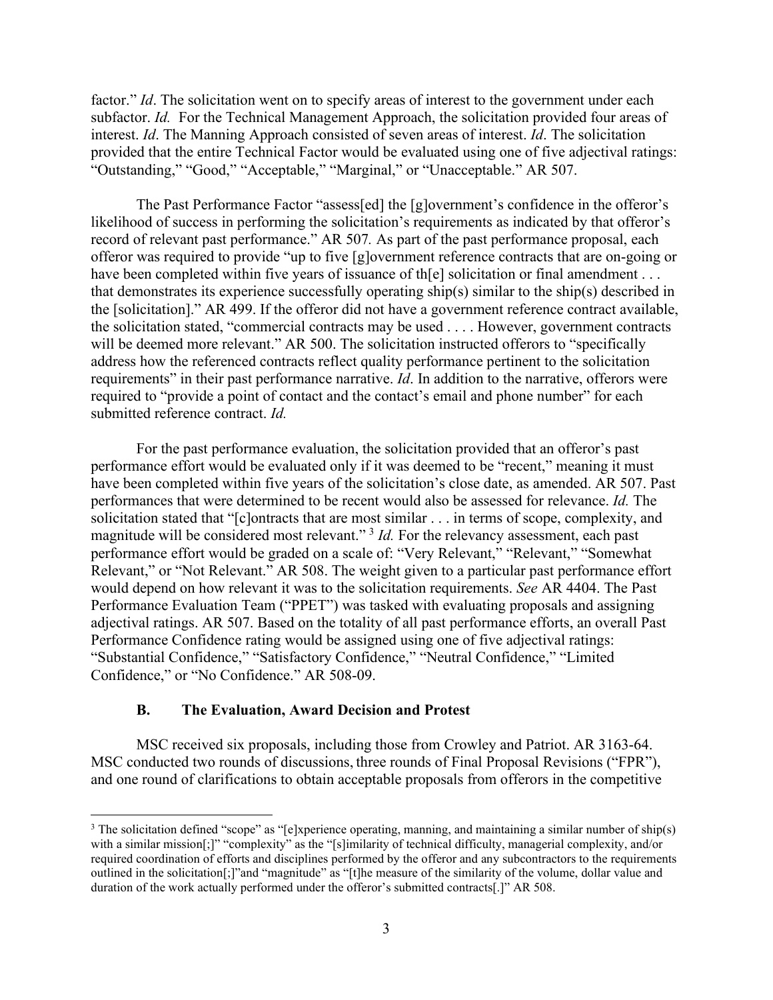factor." *Id*. The solicitation went on to specify areas of interest to the government under each subfactor. *Id.* For the Technical Management Approach, the solicitation provided four areas of interest. *Id*. The Manning Approach consisted of seven areas of interest. *Id*. The solicitation provided that the entire Technical Factor would be evaluated using one of five adjectival ratings: "Outstanding," "Good," "Acceptable," "Marginal," or "Unacceptable." AR 507.

The Past Performance Factor "assess[ed] the [g]overnment's confidence in the offeror's likelihood of success in performing the solicitation's requirements as indicated by that offeror's record of relevant past performance." AR 507*.* As part of the past performance proposal, each offeror was required to provide "up to five [g]overnment reference contracts that are on-going or have been completed within five years of issuance of th[e] solicitation or final amendment . . . that demonstrates its experience successfully operating ship(s) similar to the ship(s) described in the [solicitation]." AR 499. If the offeror did not have a government reference contract available, the solicitation stated, "commercial contracts may be used . . . . However, government contracts will be deemed more relevant." AR 500. The solicitation instructed offerors to "specifically address how the referenced contracts reflect quality performance pertinent to the solicitation requirements" in their past performance narrative. *Id*. In addition to the narrative, offerors were required to "provide a point of contact and the contact's email and phone number" for each submitted reference contract. *Id.*

For the past performance evaluation, the solicitation provided that an offeror's past performance effort would be evaluated only if it was deemed to be "recent," meaning it must have been completed within five years of the solicitation's close date, as amended. AR 507. Past performances that were determined to be recent would also be assessed for relevance. *Id.* The solicitation stated that "[c]ontracts that are most similar . . . in terms of scope, complexity, and magnitude will be considered most relevant."<sup>[3](#page-2-0)</sup> *Id*. For the relevancy assessment, each past performance effort would be graded on a scale of: "Very Relevant," "Relevant," "Somewhat Relevant," or "Not Relevant." AR 508. The weight given to a particular past performance effort would depend on how relevant it was to the solicitation requirements. *See* AR 4404. The Past Performance Evaluation Team ("PPET") was tasked with evaluating proposals and assigning adjectival ratings. AR 507. Based on the totality of all past performance efforts, an overall Past Performance Confidence rating would be assigned using one of five adjectival ratings: "Substantial Confidence," "Satisfactory Confidence," "Neutral Confidence," "Limited Confidence," or "No Confidence." AR 508-09.

#### **B. The Evaluation, Award Decision and Protest**

MSC received six proposals, including those from Crowley and Patriot. AR 3163-64. MSC conducted two rounds of discussions, three rounds of Final Proposal Revisions ("FPR"), and one round of clarifications to obtain acceptable proposals from offerors in the competitive

<span id="page-2-0"></span><sup>&</sup>lt;sup>3</sup> The solicitation defined "scope" as "[e]xperience operating, manning, and maintaining a similar number of ship(s) with a similar mission[;]" "complexity" as the "[s]imilarity of technical difficulty, managerial complexity, and/or required coordination of efforts and disciplines performed by the offeror and any subcontractors to the requirements outlined in the solicitation[;]"and "magnitude" as "[t]he measure of the similarity of the volume, dollar value and duration of the work actually performed under the offeror's submitted contracts[.]" AR 508.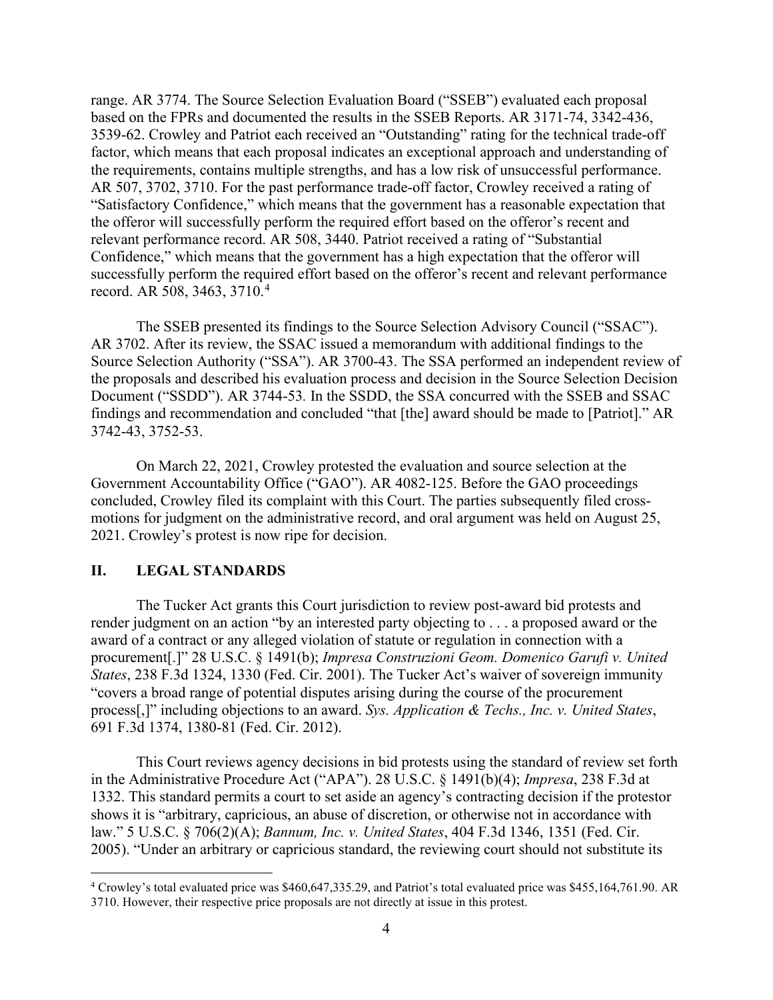range. AR 3774. The Source Selection Evaluation Board ("SSEB") evaluated each proposal based on the FPRs and documented the results in the SSEB Reports. AR 3171-74, 3342-436, 3539-62. Crowley and Patriot each received an "Outstanding" rating for the technical trade-off factor, which means that each proposal indicates an exceptional approach and understanding of the requirements, contains multiple strengths, and has a low risk of unsuccessful performance. AR 507, 3702, 3710. For the past performance trade-off factor, Crowley received a rating of "Satisfactory Confidence," which means that the government has a reasonable expectation that the offeror will successfully perform the required effort based on the offeror's recent and relevant performance record. AR 508, 3440. Patriot received a rating of "Substantial Confidence," which means that the government has a high expectation that the offeror will successfully perform the required effort based on the offeror's recent and relevant performance record. AR 508, 3463, 3710. [4](#page-3-0)

The SSEB presented its findings to the Source Selection Advisory Council ("SSAC"). AR 3702. After its review, the SSAC issued a memorandum with additional findings to the Source Selection Authority ("SSA"). AR 3700-43. The SSA performed an independent review of the proposals and described his evaluation process and decision in the Source Selection Decision Document ("SSDD"). AR 3744-53*.* In the SSDD, the SSA concurred with the SSEB and SSAC findings and recommendation and concluded "that [the] award should be made to [Patriot]." AR 3742-43, 3752-53.

On March 22, 2021, Crowley protested the evaluation and source selection at the Government Accountability Office ("GAO"). AR 4082-125. Before the GAO proceedings concluded, Crowley filed its complaint with this Court. The parties subsequently filed crossmotions for judgment on the administrative record, and oral argument was held on August 25, 2021. Crowley's protest is now ripe for decision.

#### **II. LEGAL STANDARDS**

The Tucker Act grants this Court jurisdiction to review post-award bid protests and render judgment on an action "by an interested party objecting to . . . a proposed award or the award of a contract or any alleged violation of statute or regulation in connection with a procurement[.]" 28 U.S.C. § 1491(b); *Impresa Construzioni Geom. Domenico Garufi v. United States*, 238 F.3d 1324, 1330 (Fed. Cir. 2001). The Tucker Act's waiver of sovereign immunity "covers a broad range of potential disputes arising during the course of the procurement process[,]" including objections to an award. *Sys. Application & Techs., Inc. v. United States*, 691 F.3d 1374, 1380-81 (Fed. Cir. 2012).

This Court reviews agency decisions in bid protests using the standard of review set forth in the Administrative Procedure Act ("APA"). 28 U.S.C. § 1491(b)(4); *Impresa*, 238 F.3d at 1332. This standard permits a court to set aside an agency's contracting decision if the protestor shows it is "arbitrary, capricious, an abuse of discretion, or otherwise not in accordance with law." 5 U.S.C. § 706(2)(A); *Bannum, Inc. v. United States*, 404 F.3d 1346, 1351 (Fed. Cir. 2005). "Under an arbitrary or capricious standard, the reviewing court should not substitute its

<span id="page-3-0"></span><sup>4</sup> Crowley's total evaluated price was \$460,647,335.29, and Patriot's total evaluated price was \$455,164,761.90. AR 3710. However, their respective price proposals are not directly at issue in this protest.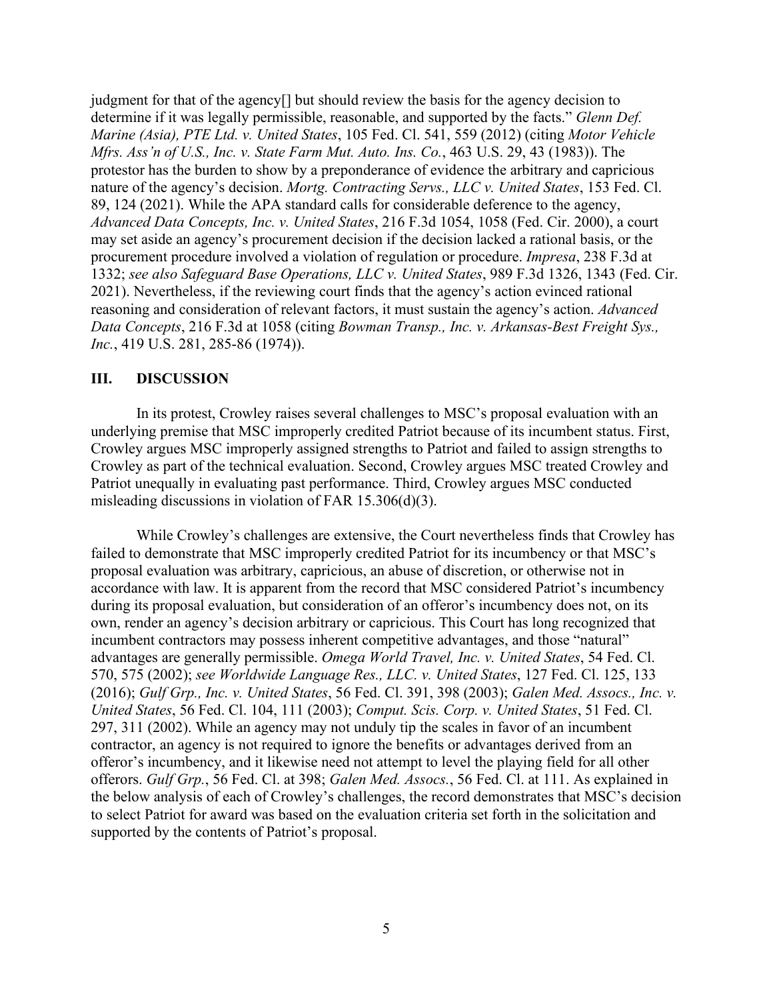judgment for that of the agency[] but should review the basis for the agency decision to determine if it was legally permissible, reasonable, and supported by the facts." *Glenn Def. Marine (Asia), PTE Ltd. v. United States*, 105 Fed. Cl. 541, 559 (2012) (citing *Motor Vehicle Mfrs. Ass'n of U.S., Inc. v. State Farm Mut. Auto. Ins. Co.*, 463 U.S. 29, 43 (1983)). The protestor has the burden to show by a preponderance of evidence the arbitrary and capricious nature of the agency's decision. *Mortg. Contracting Servs., LLC v. United States*, 153 Fed. Cl. 89, 124 (2021). While the APA standard calls for considerable deference to the agency, *Advanced Data Concepts, Inc. v. United States*, 216 F.3d 1054, 1058 (Fed. Cir. 2000), a court may set aside an agency's procurement decision if the decision lacked a rational basis, or the procurement procedure involved a violation of regulation or procedure. *Impresa*, 238 F.3d at 1332; *see also Safeguard Base Operations, LLC v. United States*, 989 F.3d 1326, 1343 (Fed. Cir. 2021). Nevertheless, if the reviewing court finds that the agency's action evinced rational reasoning and consideration of relevant factors, it must sustain the agency's action. *Advanced Data Concepts*, 216 F.3d at 1058 (citing *Bowman Transp., Inc. v. Arkansas-Best Freight Sys., Inc.*, 419 U.S. 281, 285-86 (1974)).

#### **III. DISCUSSION**

In its protest, Crowley raises several challenges to MSC's proposal evaluation with an underlying premise that MSC improperly credited Patriot because of its incumbent status. First, Crowley argues MSC improperly assigned strengths to Patriot and failed to assign strengths to Crowley as part of the technical evaluation. Second, Crowley argues MSC treated Crowley and Patriot unequally in evaluating past performance. Third, Crowley argues MSC conducted misleading discussions in violation of FAR 15.306(d)(3).

While Crowley's challenges are extensive, the Court nevertheless finds that Crowley has failed to demonstrate that MSC improperly credited Patriot for its incumbency or that MSC's proposal evaluation was arbitrary, capricious, an abuse of discretion, or otherwise not in accordance with law. It is apparent from the record that MSC considered Patriot's incumbency during its proposal evaluation, but consideration of an offeror's incumbency does not, on its own, render an agency's decision arbitrary or capricious. This Court has long recognized that incumbent contractors may possess inherent competitive advantages, and those "natural" advantages are generally permissible. *Omega World Travel, Inc. v. United States*, 54 Fed. Cl. 570, 575 (2002); *see Worldwide Language Res., LLC. v. United States*, 127 Fed. Cl. 125, 133 (2016); *Gulf Grp., Inc. v. United States*, 56 Fed. Cl. 391, 398 (2003); *Galen Med. Assocs., Inc. v. United States*, 56 Fed. Cl. 104, 111 (2003); *Comput. Scis. Corp. v. United States*, 51 Fed. Cl. 297, 311 (2002). While an agency may not unduly tip the scales in favor of an incumbent contractor, an agency is not required to ignore the benefits or advantages derived from an offeror's incumbency, and it likewise need not attempt to level the playing field for all other offerors. *Gulf Grp.*, 56 Fed. Cl. at 398; *Galen Med. Assocs.*, 56 Fed. Cl. at 111. As explained in the below analysis of each of Crowley's challenges, the record demonstrates that MSC's decision to select Patriot for award was based on the evaluation criteria set forth in the solicitation and supported by the contents of Patriot's proposal.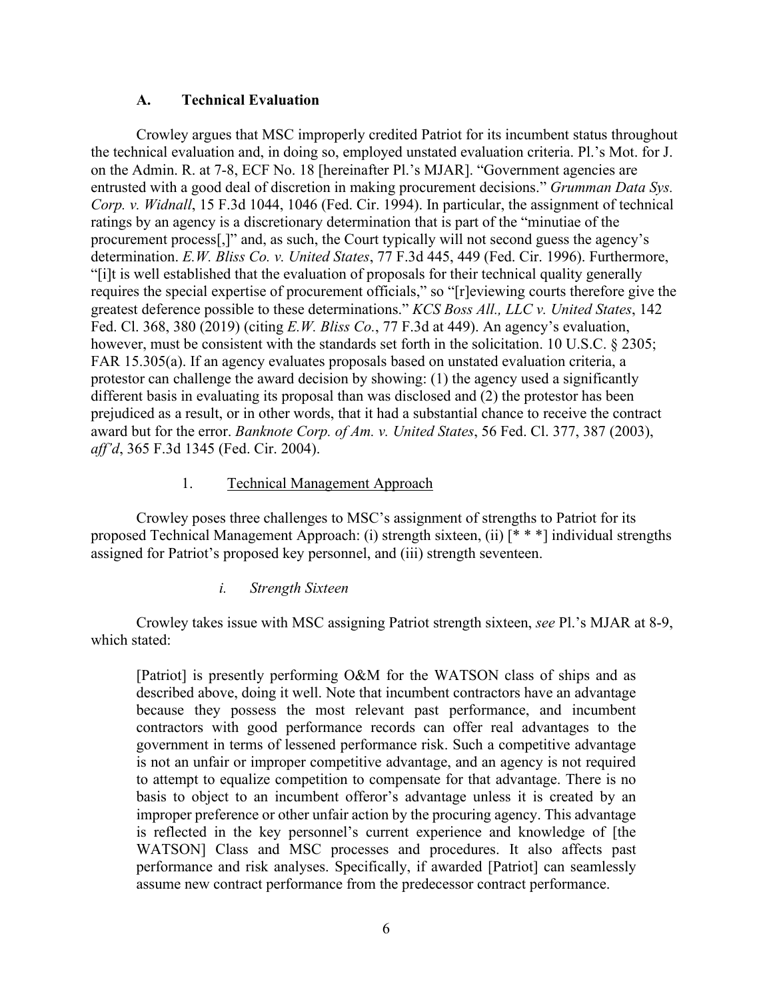### **A. Technical Evaluation**

Crowley argues that MSC improperly credited Patriot for its incumbent status throughout the technical evaluation and, in doing so, employed unstated evaluation criteria. Pl.'s Mot. for J. on the Admin. R. at 7-8, ECF No. 18 [hereinafter Pl.'s MJAR]. "Government agencies are entrusted with a good deal of discretion in making procurement decisions." *Grumman Data Sys. Corp. v. Widnall*, 15 F.3d 1044, 1046 (Fed. Cir. 1994). In particular, the assignment of technical ratings by an agency is a discretionary determination that is part of the "minutiae of the procurement process[,]" and, as such, the Court typically will not second guess the agency's determination. *E.W. Bliss Co. v. United States*, 77 F.3d 445, 449 (Fed. Cir. 1996). Furthermore, "[i]t is well established that the evaluation of proposals for their technical quality generally requires the special expertise of procurement officials," so "[r]eviewing courts therefore give the greatest deference possible to these determinations." *KCS Boss All., LLC v. United States*, 142 Fed. Cl. 368, 380 (2019) (citing *E.W. Bliss Co.*, 77 F.3d at 449). An agency's evaluation, however, must be consistent with the standards set forth in the solicitation. 10 U.S.C. § 2305; FAR 15.305(a). If an agency evaluates proposals based on unstated evaluation criteria, a protestor can challenge the award decision by showing: (1) the agency used a significantly different basis in evaluating its proposal than was disclosed and (2) the protestor has been prejudiced as a result, or in other words, that it had a substantial chance to receive the contract award but for the error. *Banknote Corp. of Am. v. United States*, 56 Fed. Cl. 377, 387 (2003), *aff'd*, 365 F.3d 1345 (Fed. Cir. 2004).

# 1. Technical Management Approach

Crowley poses three challenges to MSC's assignment of strengths to Patriot for its proposed Technical Management Approach: (i) strength sixteen, (ii) [\* \* \*] individual strengths assigned for Patriot's proposed key personnel, and (iii) strength seventeen.

# *i. Strength Sixteen*

Crowley takes issue with MSC assigning Patriot strength sixteen, *see* Pl.'s MJAR at 8-9, which stated:

[Patriot] is presently performing O&M for the WATSON class of ships and as described above, doing it well. Note that incumbent contractors have an advantage because they possess the most relevant past performance, and incumbent contractors with good performance records can offer real advantages to the government in terms of lessened performance risk. Such a competitive advantage is not an unfair or improper competitive advantage, and an agency is not required to attempt to equalize competition to compensate for that advantage. There is no basis to object to an incumbent offeror's advantage unless it is created by an improper preference or other unfair action by the procuring agency. This advantage is reflected in the key personnel's current experience and knowledge of [the WATSON] Class and MSC processes and procedures. It also affects past performance and risk analyses. Specifically, if awarded [Patriot] can seamlessly assume new contract performance from the predecessor contract performance.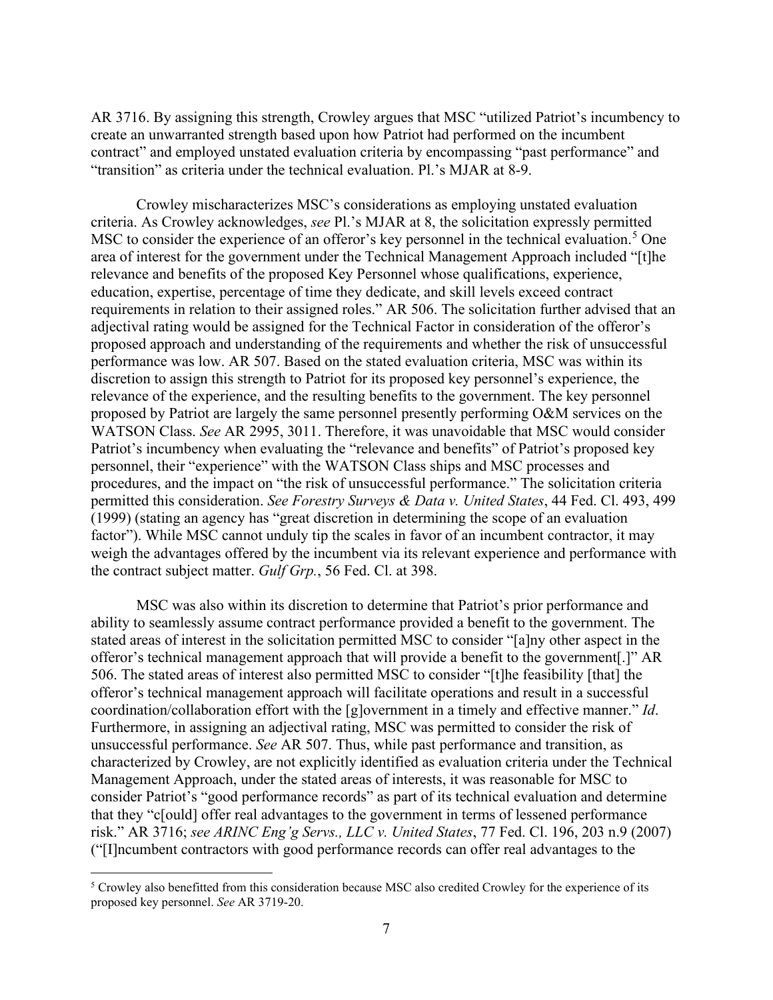AR 3716. By assigning this strength, Crowley argues that MSC "utilized Patriot's incumbency to create an unwarranted strength based upon how Patriot had performed on the incumbent contract" and employed unstated evaluation criteria by encompassing "past performance" and "transition" as criteria under the technical evaluation. Pl.'s MJAR at 8-9.

Crowley mischaracterizes MSC's considerations as employing unstated evaluation criteria. As Crowley acknowledges, *see* Pl.'s MJAR at 8, the solicitation expressly permitted MSC to consider the experience of an offeror's key personnel in the technical evaluation.<sup>[5](#page-6-0)</sup> One area of interest for the government under the Technical Management Approach included "[t]he relevance and benefits of the proposed Key Personnel whose qualifications, experience, education, expertise, percentage of time they dedicate, and skill levels exceed contract requirements in relation to their assigned roles." AR 506. The solicitation further advised that an adjectival rating would be assigned for the Technical Factor in consideration of the offeror's proposed approach and understanding of the requirements and whether the risk of unsuccessful performance was low. AR 507. Based on the stated evaluation criteria, MSC was within its discretion to assign this strength to Patriot for its proposed key personnel's experience, the relevance of the experience, and the resulting benefits to the government. The key personnel proposed by Patriot are largely the same personnel presently performing O&M services on the WATSON Class. *See* AR 2995, 3011. Therefore, it was unavoidable that MSC would consider Patriot's incumbency when evaluating the "relevance and benefits" of Patriot's proposed key personnel, their "experience" with the WATSON Class ships and MSC processes and procedures, and the impact on "the risk of unsuccessful performance." The solicitation criteria permitted this consideration. *See Forestry Surveys & Data v. United States*, 44 Fed. Cl. 493, 499 (1999) (stating an agency has "great discretion in determining the scope of an evaluation factor"). While MSC cannot unduly tip the scales in favor of an incumbent contractor, it may weigh the advantages offered by the incumbent via its relevant experience and performance with the contract subject matter. *Gulf Grp.*, 56 Fed. Cl. at 398.

MSC was also within its discretion to determine that Patriot's prior performance and ability to seamlessly assume contract performance provided a benefit to the government. The stated areas of interest in the solicitation permitted MSC to consider "[a]ny other aspect in the offeror's technical management approach that will provide a benefit to the government[.]" AR 506. The stated areas of interest also permitted MSC to consider "[t]he feasibility [that] the offeror's technical management approach will facilitate operations and result in a successful coordination/collaboration effort with the [g]overnment in a timely and effective manner." *Id*. Furthermore, in assigning an adjectival rating, MSC was permitted to consider the risk of unsuccessful performance. *See* AR 507. Thus, while past performance and transition, as characterized by Crowley, are not explicitly identified as evaluation criteria under the Technical Management Approach, under the stated areas of interests, it was reasonable for MSC to consider Patriot's "good performance records" as part of its technical evaluation and determine that they "c[ould] offer real advantages to the government in terms of lessened performance risk." AR 3716; *see ARINC Eng'g Servs., LLC v. United States*, 77 Fed. Cl. 196, 203 n.9 (2007) ("[I]ncumbent contractors with good performance records can offer real advantages to the

<span id="page-6-0"></span><sup>&</sup>lt;sup>5</sup> Crowley also benefitted from this consideration because MSC also credited Crowley for the experience of its proposed key personnel. *See* AR 3719-20.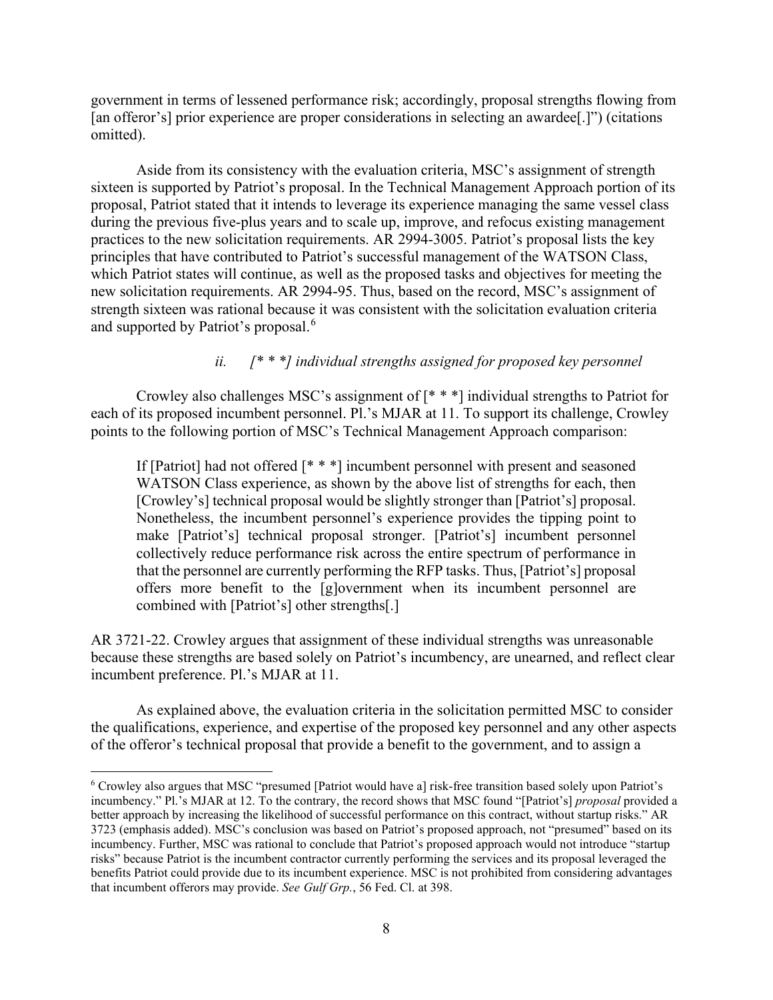government in terms of lessened performance risk; accordingly, proposal strengths flowing from [an offeror's] prior experience are proper considerations in selecting an awardee[.]") (citations omitted).

Aside from its consistency with the evaluation criteria, MSC's assignment of strength sixteen is supported by Patriot's proposal. In the Technical Management Approach portion of its proposal, Patriot stated that it intends to leverage its experience managing the same vessel class during the previous five-plus years and to scale up, improve, and refocus existing management practices to the new solicitation requirements. AR 2994-3005. Patriot's proposal lists the key principles that have contributed to Patriot's successful management of the WATSON Class, which Patriot states will continue, as well as the proposed tasks and objectives for meeting the new solicitation requirements. AR 2994-95. Thus, based on the record, MSC's assignment of strength sixteen was rational because it was consistent with the solicitation evaluation criteria and supported by Patriot's proposal. [6](#page-7-0)

# *ii. [\* \* \*] individual strengths assigned for proposed key personnel*

Crowley also challenges MSC's assignment of [\* \* \*] individual strengths to Patriot for each of its proposed incumbent personnel. Pl.'s MJAR at 11. To support its challenge, Crowley points to the following portion of MSC's Technical Management Approach comparison:

If [Patriot] had not offered [\* \* \*] incumbent personnel with present and seasoned WATSON Class experience, as shown by the above list of strengths for each, then [Crowley's] technical proposal would be slightly stronger than [Patriot's] proposal. Nonetheless, the incumbent personnel's experience provides the tipping point to make [Patriot's] technical proposal stronger. [Patriot's] incumbent personnel collectively reduce performance risk across the entire spectrum of performance in that the personnel are currently performing the RFP tasks. Thus, [Patriot's] proposal offers more benefit to the [g]overnment when its incumbent personnel are combined with [Patriot's] other strengths[.]

AR 3721-22. Crowley argues that assignment of these individual strengths was unreasonable because these strengths are based solely on Patriot's incumbency, are unearned, and reflect clear incumbent preference. Pl.'s MJAR at 11.

As explained above, the evaluation criteria in the solicitation permitted MSC to consider the qualifications, experience, and expertise of the proposed key personnel and any other aspects of the offeror's technical proposal that provide a benefit to the government, and to assign a

<span id="page-7-0"></span><sup>6</sup> Crowley also argues that MSC "presumed [Patriot would have a] risk-free transition based solely upon Patriot's incumbency." Pl.'s MJAR at 12. To the contrary, the record shows that MSC found "[Patriot's] *proposal* provided a better approach by increasing the likelihood of successful performance on this contract, without startup risks." AR 3723 (emphasis added). MSC's conclusion was based on Patriot's proposed approach, not "presumed" based on its incumbency. Further, MSC was rational to conclude that Patriot's proposed approach would not introduce "startup risks" because Patriot is the incumbent contractor currently performing the services and its proposal leveraged the benefits Patriot could provide due to its incumbent experience. MSC is not prohibited from considering advantages that incumbent offerors may provide. *See Gulf Grp.*, 56 Fed. Cl. at 398.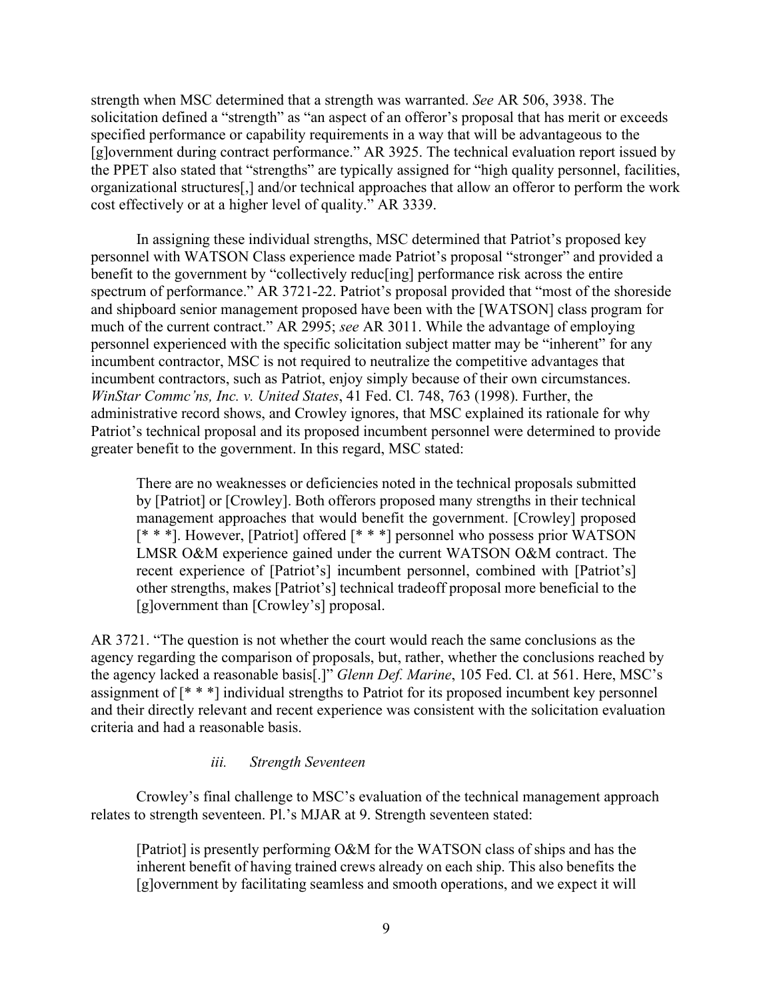strength when MSC determined that a strength was warranted. *See* AR 506, 3938. The solicitation defined a "strength" as "an aspect of an offeror's proposal that has merit or exceeds specified performance or capability requirements in a way that will be advantageous to the [g]overnment during contract performance." AR 3925. The technical evaluation report issued by the PPET also stated that "strengths" are typically assigned for "high quality personnel, facilities, organizational structures[,] and/or technical approaches that allow an offeror to perform the work cost effectively or at a higher level of quality." AR 3339.

In assigning these individual strengths, MSC determined that Patriot's proposed key personnel with WATSON Class experience made Patriot's proposal "stronger" and provided a benefit to the government by "collectively reduc[ing] performance risk across the entire spectrum of performance." AR 3721-22. Patriot's proposal provided that "most of the shoreside and shipboard senior management proposed have been with the [WATSON] class program for much of the current contract." AR 2995; *see* AR 3011. While the advantage of employing personnel experienced with the specific solicitation subject matter may be "inherent" for any incumbent contractor, MSC is not required to neutralize the competitive advantages that incumbent contractors, such as Patriot, enjoy simply because of their own circumstances. *WinStar Commc'ns, Inc. v. United States*, 41 Fed. Cl. 748, 763 (1998). Further, the administrative record shows, and Crowley ignores, that MSC explained its rationale for why Patriot's technical proposal and its proposed incumbent personnel were determined to provide greater benefit to the government. In this regard, MSC stated:

There are no weaknesses or deficiencies noted in the technical proposals submitted by [Patriot] or [Crowley]. Both offerors proposed many strengths in their technical management approaches that would benefit the government. [Crowley] proposed [\* \* \*]. However, [Patriot] offered [\* \* \*] personnel who possess prior WATSON LMSR O&M experience gained under the current WATSON O&M contract. The recent experience of [Patriot's] incumbent personnel, combined with [Patriot's] other strengths, makes [Patriot's] technical tradeoff proposal more beneficial to the [g]overnment than [Crowley's] proposal.

AR 3721. "The question is not whether the court would reach the same conclusions as the agency regarding the comparison of proposals, but, rather, whether the conclusions reached by the agency lacked a reasonable basis[.]" *Glenn Def. Marine*, 105 Fed. Cl. at 561. Here, MSC's assignment of [\* \* \*] individual strengths to Patriot for its proposed incumbent key personnel and their directly relevant and recent experience was consistent with the solicitation evaluation criteria and had a reasonable basis.

#### *iii. Strength Seventeen*

Crowley's final challenge to MSC's evaluation of the technical management approach relates to strength seventeen. Pl.'s MJAR at 9. Strength seventeen stated:

[Patriot] is presently performing O&M for the WATSON class of ships and has the inherent benefit of having trained crews already on each ship. This also benefits the [g]overnment by facilitating seamless and smooth operations, and we expect it will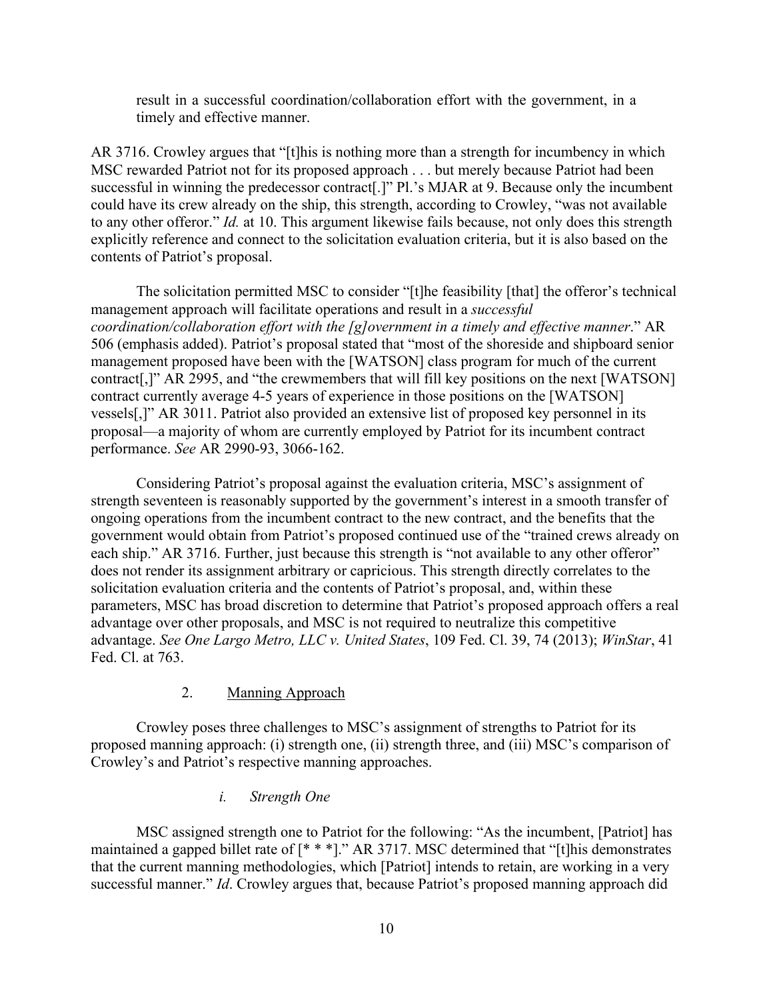result in a successful coordination/collaboration effort with the government, in a timely and effective manner.

AR 3716. Crowley argues that "[t]his is nothing more than a strength for incumbency in which MSC rewarded Patriot not for its proposed approach . . . but merely because Patriot had been successful in winning the predecessor contract<sup>[1]</sup>. Pl.'s MJAR at 9. Because only the incumbent could have its crew already on the ship, this strength, according to Crowley, "was not available to any other offeror." *Id.* at 10. This argument likewise fails because, not only does this strength explicitly reference and connect to the solicitation evaluation criteria, but it is also based on the contents of Patriot's proposal.

The solicitation permitted MSC to consider "[t]he feasibility [that] the offeror's technical management approach will facilitate operations and result in a *successful coordination/collaboration effort with the [g]overnment in a timely and effective manner*." AR 506 (emphasis added). Patriot's proposal stated that "most of the shoreside and shipboard senior management proposed have been with the [WATSON] class program for much of the current contract[,]" AR 2995, and "the crewmembers that will fill key positions on the next [WATSON] contract currently average 4-5 years of experience in those positions on the [WATSON] vessels[,]" AR 3011. Patriot also provided an extensive list of proposed key personnel in its proposal—a majority of whom are currently employed by Patriot for its incumbent contract performance. *See* AR 2990-93, 3066-162.

Considering Patriot's proposal against the evaluation criteria, MSC's assignment of strength seventeen is reasonably supported by the government's interest in a smooth transfer of ongoing operations from the incumbent contract to the new contract, and the benefits that the government would obtain from Patriot's proposed continued use of the "trained crews already on each ship." AR 3716. Further, just because this strength is "not available to any other offeror" does not render its assignment arbitrary or capricious. This strength directly correlates to the solicitation evaluation criteria and the contents of Patriot's proposal, and, within these parameters, MSC has broad discretion to determine that Patriot's proposed approach offers a real advantage over other proposals, and MSC is not required to neutralize this competitive advantage. *See One Largo Metro, LLC v. United States*, 109 Fed. Cl. 39, 74 (2013); *WinStar*, 41 Fed. Cl. at 763.

#### 2. Manning Approach

Crowley poses three challenges to MSC's assignment of strengths to Patriot for its proposed manning approach: (i) strength one, (ii) strength three, and (iii) MSC's comparison of Crowley's and Patriot's respective manning approaches.

#### *i. Strength One*

MSC assigned strength one to Patriot for the following: "As the incumbent, [Patriot] has maintained a gapped billet rate of [\* \* \*]." AR 3717. MSC determined that "[t]his demonstrates that the current manning methodologies, which [Patriot] intends to retain, are working in a very successful manner." *Id*. Crowley argues that, because Patriot's proposed manning approach did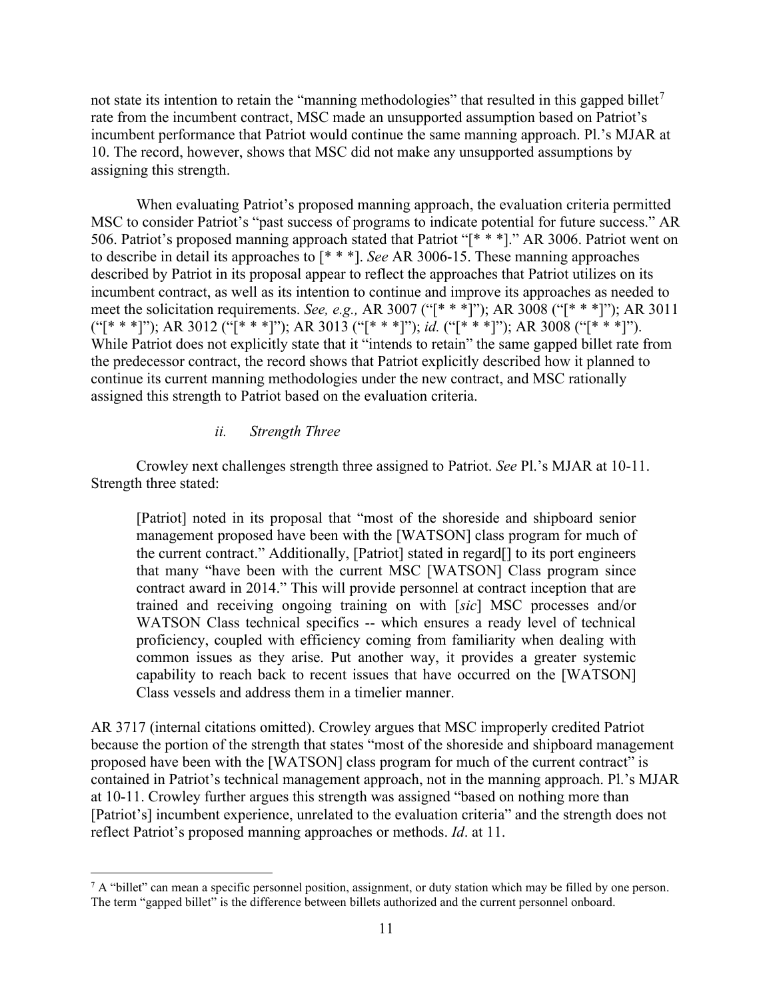not state its intention to retain the "manning methodologies" that resulted in this gapped billet<sup>[7](#page-10-0)</sup> rate from the incumbent contract, MSC made an unsupported assumption based on Patriot's incumbent performance that Patriot would continue the same manning approach. Pl.'s MJAR at 10. The record, however, shows that MSC did not make any unsupported assumptions by assigning this strength.

When evaluating Patriot's proposed manning approach, the evaluation criteria permitted MSC to consider Patriot's "past success of programs to indicate potential for future success." AR 506. Patriot's proposed manning approach stated that Patriot "[\* \* \*]." AR 3006. Patriot went on to describe in detail its approaches to [\* \* \*]. *See* AR 3006-15. These manning approaches described by Patriot in its proposal appear to reflect the approaches that Patriot utilizes on its incumbent contract, as well as its intention to continue and improve its approaches as needed to meet the solicitation requirements. *See, e.g.,* AR 3007 ("[\* \* \*]"); AR 3008 ("[\* \* \*]"); AR 3011 ("[\* \* \*]"); AR 3012 ("[\* \* \*]"); AR 3013 ("[\* \* \*]"); *id.* ("[\* \* \*]"); AR 3008 ("[\* \* \*]"). While Patriot does not explicitly state that it "intends to retain" the same gapped billet rate from the predecessor contract, the record shows that Patriot explicitly described how it planned to continue its current manning methodologies under the new contract, and MSC rationally assigned this strength to Patriot based on the evaluation criteria.

#### *ii. Strength Three*

Crowley next challenges strength three assigned to Patriot. *See* Pl.'s MJAR at 10-11. Strength three stated:

[Patriot] noted in its proposal that "most of the shoreside and shipboard senior management proposed have been with the [WATSON] class program for much of the current contract." Additionally, [Patriot] stated in regard[] to its port engineers that many "have been with the current MSC [WATSON] Class program since contract award in 2014." This will provide personnel at contract inception that are trained and receiving ongoing training on with [*sic*] MSC processes and/or WATSON Class technical specifics -- which ensures a ready level of technical proficiency, coupled with efficiency coming from familiarity when dealing with common issues as they arise. Put another way, it provides a greater systemic capability to reach back to recent issues that have occurred on the [WATSON] Class vessels and address them in a timelier manner.

AR 3717 (internal citations omitted). Crowley argues that MSC improperly credited Patriot because the portion of the strength that states "most of the shoreside and shipboard management proposed have been with the [WATSON] class program for much of the current contract" is contained in Patriot's technical management approach, not in the manning approach. Pl.'s MJAR at 10-11. Crowley further argues this strength was assigned "based on nothing more than [Patriot's] incumbent experience, unrelated to the evaluation criteria" and the strength does not reflect Patriot's proposed manning approaches or methods. *Id*. at 11.

<span id="page-10-0"></span> $7 A$  "billet" can mean a specific personnel position, assignment, or duty station which may be filled by one person. The term "gapped billet" is the difference between billets authorized and the current personnel onboard.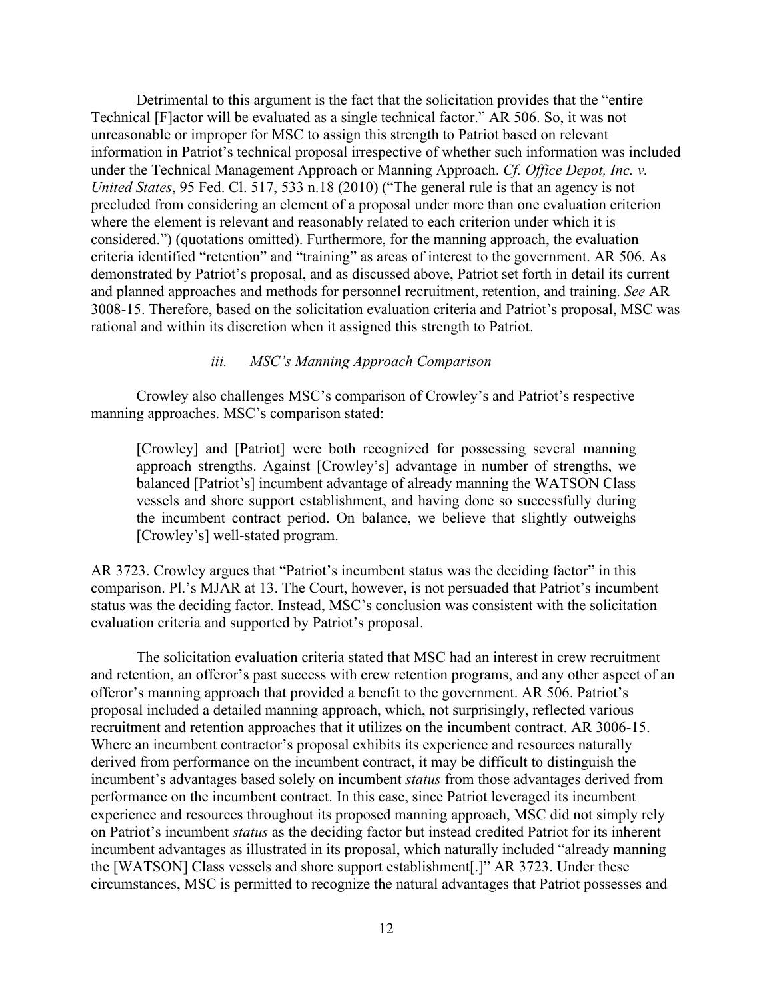Detrimental to this argument is the fact that the solicitation provides that the "entire Technical [F]actor will be evaluated as a single technical factor." AR 506. So, it was not unreasonable or improper for MSC to assign this strength to Patriot based on relevant information in Patriot's technical proposal irrespective of whether such information was included under the Technical Management Approach or Manning Approach. *Cf. Office Depot, Inc. v. United States*, 95 Fed. Cl. 517, 533 n.18 (2010) ("The general rule is that an agency is not precluded from considering an element of a proposal under more than one evaluation criterion where the element is relevant and reasonably related to each criterion under which it is considered.") (quotations omitted). Furthermore, for the manning approach, the evaluation criteria identified "retention" and "training" as areas of interest to the government. AR 506. As demonstrated by Patriot's proposal, and as discussed above, Patriot set forth in detail its current and planned approaches and methods for personnel recruitment, retention, and training. *See* AR 3008-15. Therefore, based on the solicitation evaluation criteria and Patriot's proposal, MSC was rational and within its discretion when it assigned this strength to Patriot.

#### *iii. MSC's Manning Approach Comparison*

Crowley also challenges MSC's comparison of Crowley's and Patriot's respective manning approaches. MSC's comparison stated:

[Crowley] and [Patriot] were both recognized for possessing several manning approach strengths. Against [Crowley's] advantage in number of strengths, we balanced [Patriot's] incumbent advantage of already manning the WATSON Class vessels and shore support establishment, and having done so successfully during the incumbent contract period. On balance, we believe that slightly outweighs [Crowley's] well-stated program.

AR 3723. Crowley argues that "Patriot's incumbent status was the deciding factor" in this comparison. Pl.'s MJAR at 13. The Court, however, is not persuaded that Patriot's incumbent status was the deciding factor. Instead, MSC's conclusion was consistent with the solicitation evaluation criteria and supported by Patriot's proposal.

The solicitation evaluation criteria stated that MSC had an interest in crew recruitment and retention, an offeror's past success with crew retention programs, and any other aspect of an offeror's manning approach that provided a benefit to the government. AR 506. Patriot's proposal included a detailed manning approach, which, not surprisingly, reflected various recruitment and retention approaches that it utilizes on the incumbent contract. AR 3006-15. Where an incumbent contractor's proposal exhibits its experience and resources naturally derived from performance on the incumbent contract, it may be difficult to distinguish the incumbent's advantages based solely on incumbent *status* from those advantages derived from performance on the incumbent contract. In this case, since Patriot leveraged its incumbent experience and resources throughout its proposed manning approach, MSC did not simply rely on Patriot's incumbent *status* as the deciding factor but instead credited Patriot for its inherent incumbent advantages as illustrated in its proposal, which naturally included "already manning the [WATSON] Class vessels and shore support establishment[.]" AR 3723. Under these circumstances, MSC is permitted to recognize the natural advantages that Patriot possesses and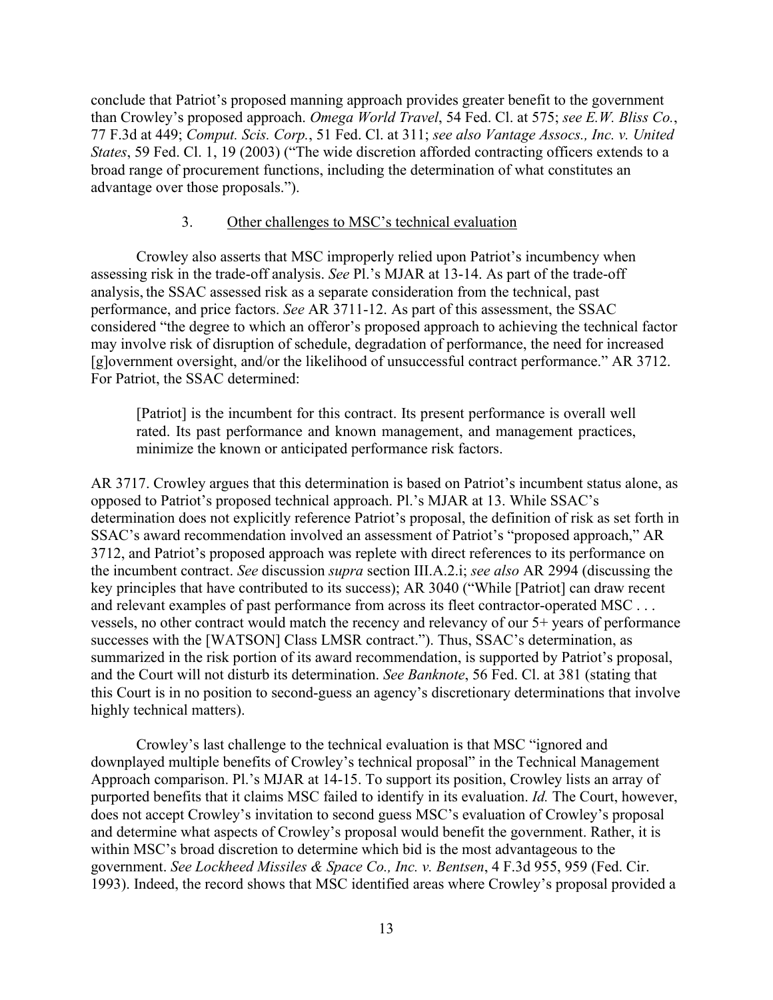conclude that Patriot's proposed manning approach provides greater benefit to the government than Crowley's proposed approach. *Omega World Travel*, 54 Fed. Cl. at 575; *see E.W. Bliss Co.*, 77 F.3d at 449; *Comput. Scis. Corp.*, 51 Fed. Cl. at 311; *see also Vantage Assocs., Inc. v. United States*, 59 Fed. Cl. 1, 19 (2003) ("The wide discretion afforded contracting officers extends to a broad range of procurement functions, including the determination of what constitutes an advantage over those proposals.").

# 3. Other challenges to MSC's technical evaluation

Crowley also asserts that MSC improperly relied upon Patriot's incumbency when assessing risk in the trade-off analysis. *See* Pl.'s MJAR at 13-14. As part of the trade-off analysis, the SSAC assessed risk as a separate consideration from the technical, past performance, and price factors. *See* AR 3711-12. As part of this assessment, the SSAC considered "the degree to which an offeror's proposed approach to achieving the technical factor may involve risk of disruption of schedule, degradation of performance, the need for increased [g]overnment oversight, and/or the likelihood of unsuccessful contract performance." AR 3712. For Patriot, the SSAC determined:

[Patriot] is the incumbent for this contract. Its present performance is overall well rated. Its past performance and known management, and management practices, minimize the known or anticipated performance risk factors.

AR 3717. Crowley argues that this determination is based on Patriot's incumbent status alone, as opposed to Patriot's proposed technical approach. Pl.'s MJAR at 13. While SSAC's determination does not explicitly reference Patriot's proposal, the definition of risk as set forth in SSAC's award recommendation involved an assessment of Patriot's "proposed approach," AR 3712, and Patriot's proposed approach was replete with direct references to its performance on the incumbent contract. *See* discussion *supra* section III.A.2.i; *see also* AR 2994 (discussing the key principles that have contributed to its success); AR 3040 ("While [Patriot] can draw recent and relevant examples of past performance from across its fleet contractor-operated MSC . . . vessels, no other contract would match the recency and relevancy of our 5+ years of performance successes with the [WATSON] Class LMSR contract."). Thus, SSAC's determination, as summarized in the risk portion of its award recommendation, is supported by Patriot's proposal, and the Court will not disturb its determination. *See Banknote*, 56 Fed. Cl. at 381 (stating that this Court is in no position to second-guess an agency's discretionary determinations that involve highly technical matters).

Crowley's last challenge to the technical evaluation is that MSC "ignored and downplayed multiple benefits of Crowley's technical proposal" in the Technical Management Approach comparison. Pl.'s MJAR at 14-15. To support its position, Crowley lists an array of purported benefits that it claims MSC failed to identify in its evaluation. *Id.* The Court, however, does not accept Crowley's invitation to second guess MSC's evaluation of Crowley's proposal and determine what aspects of Crowley's proposal would benefit the government. Rather, it is within MSC's broad discretion to determine which bid is the most advantageous to the government. *See Lockheed Missiles & Space Co., Inc. v. Bentsen*, 4 F.3d 955, 959 (Fed. Cir. 1993). Indeed, the record shows that MSC identified areas where Crowley's proposal provided a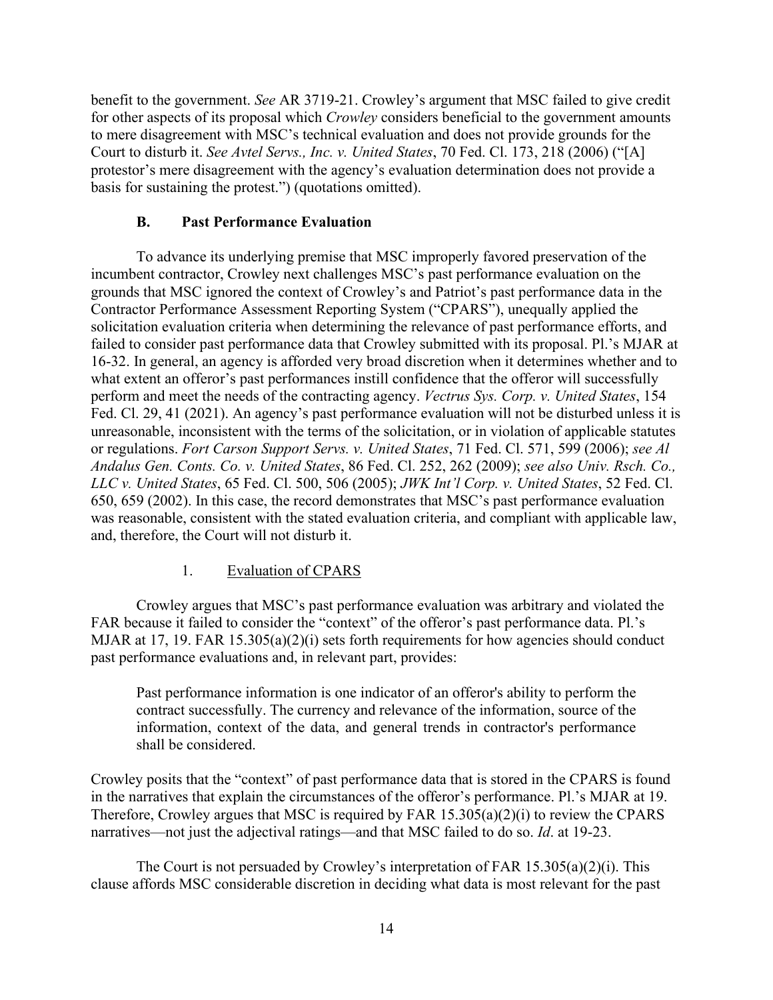benefit to the government. *See* AR 3719-21. Crowley's argument that MSC failed to give credit for other aspects of its proposal which *Crowley* considers beneficial to the government amounts to mere disagreement with MSC's technical evaluation and does not provide grounds for the Court to disturb it. *See Avtel Servs., Inc. v. United States*, 70 Fed. Cl. 173, 218 (2006) ("[A] protestor's mere disagreement with the agency's evaluation determination does not provide a basis for sustaining the protest.") (quotations omitted).

# **B. Past Performance Evaluation**

To advance its underlying premise that MSC improperly favored preservation of the incumbent contractor, Crowley next challenges MSC's past performance evaluation on the grounds that MSC ignored the context of Crowley's and Patriot's past performance data in the Contractor Performance Assessment Reporting System ("CPARS"), unequally applied the solicitation evaluation criteria when determining the relevance of past performance efforts, and failed to consider past performance data that Crowley submitted with its proposal. Pl.'s MJAR at 16-32. In general, an agency is afforded very broad discretion when it determines whether and to what extent an offeror's past performances instill confidence that the offeror will successfully perform and meet the needs of the contracting agency. *Vectrus Sys. Corp. v. United States*, 154 Fed. Cl. 29, 41 (2021). An agency's past performance evaluation will not be disturbed unless it is unreasonable, inconsistent with the terms of the solicitation, or in violation of applicable statutes or regulations. *Fort Carson Support Servs. v. United States*, 71 Fed. Cl. 571, 599 (2006); *see Al Andalus Gen. Conts. Co. v. United States*, 86 Fed. Cl. 252, 262 (2009); *see also Univ. Rsch. Co., LLC v. United States*, 65 Fed. Cl. 500, 506 (2005); *JWK Int'l Corp. v. United States*, 52 Fed. Cl. 650, 659 (2002). In this case, the record demonstrates that MSC's past performance evaluation was reasonable, consistent with the stated evaluation criteria, and compliant with applicable law, and, therefore, the Court will not disturb it.

# 1. Evaluation of CPARS

Crowley argues that MSC's past performance evaluation was arbitrary and violated the FAR because it failed to consider the "context" of the offeror's past performance data. Pl.'s MJAR at 17, 19. FAR 15.305(a)(2)(i) sets forth requirements for how agencies should conduct past performance evaluations and, in relevant part, provides:

Past performance information is one indicator of an offeror's ability to perform the contract successfully. The currency and relevance of the information, source of the information, context of the data, and general trends in contractor's performance shall be considered.

Crowley posits that the "context" of past performance data that is stored in the CPARS is found in the narratives that explain the circumstances of the offeror's performance. Pl.'s MJAR at 19. Therefore, Crowley argues that MSC is required by FAR 15.305(a)(2)(i) to review the CPARS narratives—not just the adjectival ratings—and that MSC failed to do so. *Id*. at 19-23.

The Court is not persuaded by Crowley's interpretation of FAR  $15.305(a)(2)(i)$ . This clause affords MSC considerable discretion in deciding what data is most relevant for the past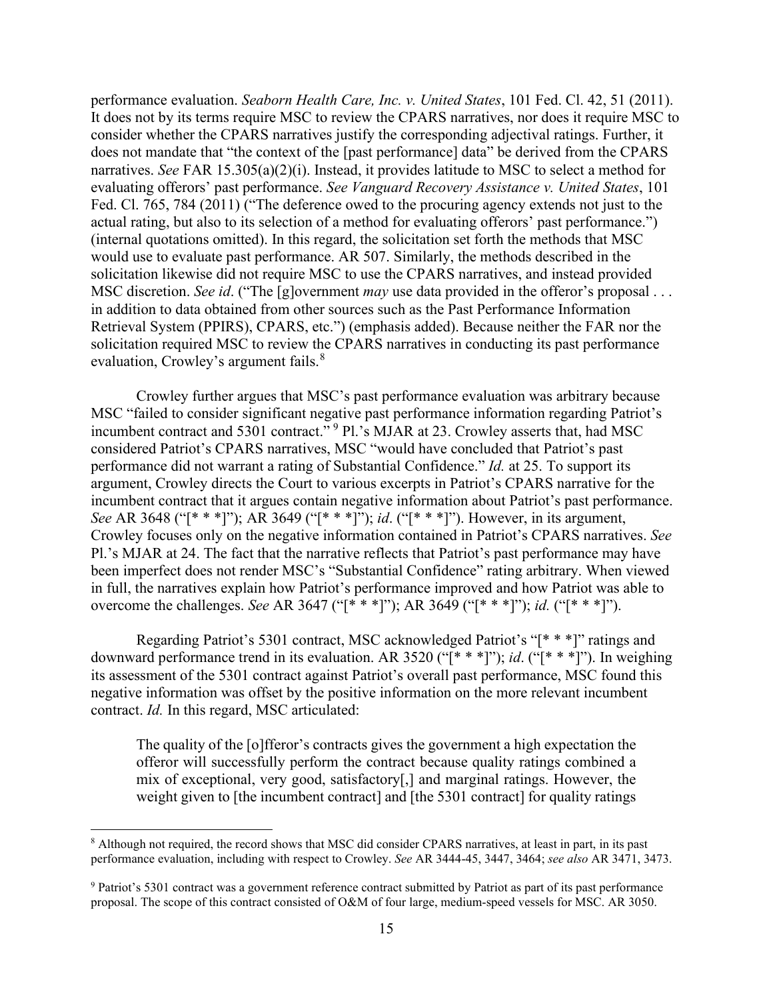performance evaluation. *Seaborn Health Care, Inc. v. United States*, 101 Fed. Cl. 42, 51 (2011). It does not by its terms require MSC to review the CPARS narratives, nor does it require MSC to consider whether the CPARS narratives justify the corresponding adjectival ratings. Further, it does not mandate that "the context of the [past performance] data" be derived from the CPARS narratives. *See* FAR 15.305(a)(2)(i). Instead, it provides latitude to MSC to select a method for evaluating offerors' past performance. *See Vanguard Recovery Assistance v. United States*, 101 Fed. Cl. 765, 784 (2011) ("The deference owed to the procuring agency extends not just to the actual rating, but also to its selection of a method for evaluating offerors' past performance.") (internal quotations omitted). In this regard, the solicitation set forth the methods that MSC would use to evaluate past performance. AR 507. Similarly, the methods described in the solicitation likewise did not require MSC to use the CPARS narratives, and instead provided MSC discretion. *See id*. ("The [g]overnment *may* use data provided in the offeror's proposal . . . in addition to data obtained from other sources such as the Past Performance Information Retrieval System (PPIRS), CPARS, etc.") (emphasis added). Because neither the FAR nor the solicitation required MSC to review the CPARS narratives in conducting its past performance evaluation, Crowley's argument fails.<sup>[8](#page-14-0)</sup>

Crowley further argues that MSC's past performance evaluation was arbitrary because MSC "failed to consider significant negative past performance information regarding Patriot's incumbent contract and 5301 contract."<sup>[9](#page-14-1)</sup> Pl.'s MJAR at 23. Crowley asserts that, had MSC considered Patriot's CPARS narratives, MSC "would have concluded that Patriot's past performance did not warrant a rating of Substantial Confidence." *Id.* at 25. To support its argument, Crowley directs the Court to various excerpts in Patriot's CPARS narrative for the incumbent contract that it argues contain negative information about Patriot's past performance. *See* AR 3648 ("[\* \* \*]"); AR 3649 ("[\* \* \*]"); *id*. ("[\* \* \*]"). However, in its argument, Crowley focuses only on the negative information contained in Patriot's CPARS narratives. *See* Pl.'s MJAR at 24. The fact that the narrative reflects that Patriot's past performance may have been imperfect does not render MSC's "Substantial Confidence" rating arbitrary. When viewed in full, the narratives explain how Patriot's performance improved and how Patriot was able to overcome the challenges. *See* AR 3647 ("[\* \* \*]"); AR 3649 ("[\* \* \*]"); *id.* ("[\* \* \*]").

Regarding Patriot's 5301 contract, MSC acknowledged Patriot's "[\* \* \*]" ratings and downward performance trend in its evaluation. AR 3520 ("[\* \* \*]"); *id*. ("[\* \* \*]"). In weighing its assessment of the 5301 contract against Patriot's overall past performance, MSC found this negative information was offset by the positive information on the more relevant incumbent contract. *Id.* In this regard, MSC articulated:

The quality of the [o]fferor's contracts gives the government a high expectation the offeror will successfully perform the contract because quality ratings combined a mix of exceptional, very good, satisfactory[,] and marginal ratings. However, the weight given to [the incumbent contract] and [the 5301 contract] for quality ratings

<span id="page-14-0"></span><sup>&</sup>lt;sup>8</sup> Although not required, the record shows that MSC did consider CPARS narratives, at least in part, in its past performance evaluation, including with respect to Crowley. *See* AR 3444-45, 3447, 3464; *see also* AR 3471, 3473.

<span id="page-14-1"></span><sup>&</sup>lt;sup>9</sup> Patriot's 5301 contract was a government reference contract submitted by Patriot as part of its past performance proposal. The scope of this contract consisted of O&M of four large, medium-speed vessels for MSC. AR 3050.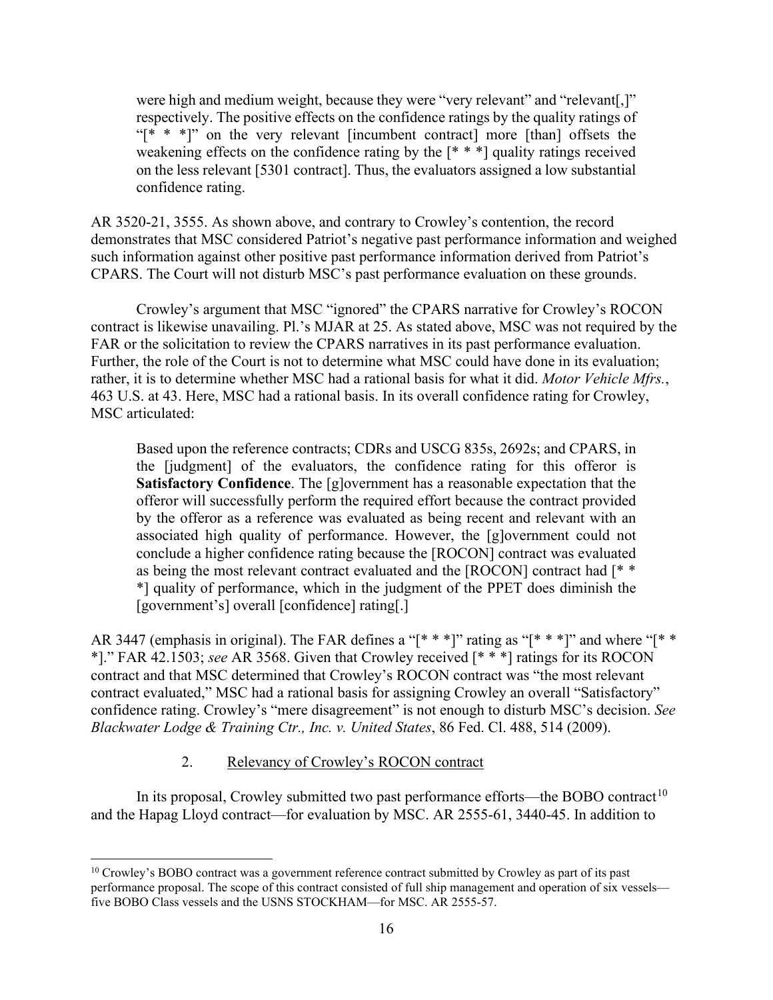were high and medium weight, because they were "very relevant" and "relevant[,]" respectively. The positive effects on the confidence ratings by the quality ratings of "[\* \* \*]" on the very relevant [incumbent contract] more [than] offsets the weakening effects on the confidence rating by the  $[$ <sup>\*</sup> \*  $]$ <sup>\*</sup> quality ratings received on the less relevant [5301 contract]. Thus, the evaluators assigned a low substantial confidence rating.

AR 3520-21, 3555. As shown above, and contrary to Crowley's contention, the record demonstrates that MSC considered Patriot's negative past performance information and weighed such information against other positive past performance information derived from Patriot's CPARS. The Court will not disturb MSC's past performance evaluation on these grounds.

Crowley's argument that MSC "ignored" the CPARS narrative for Crowley's ROCON contract is likewise unavailing. Pl.'s MJAR at 25. As stated above, MSC was not required by the FAR or the solicitation to review the CPARS narratives in its past performance evaluation. Further, the role of the Court is not to determine what MSC could have done in its evaluation; rather, it is to determine whether MSC had a rational basis for what it did. *Motor Vehicle Mfrs.*, 463 U.S. at 43. Here, MSC had a rational basis. In its overall confidence rating for Crowley, MSC articulated:

Based upon the reference contracts; CDRs and USCG 835s, 2692s; and CPARS, in the [judgment] of the evaluators, the confidence rating for this offeror is **Satisfactory Confidence**. The [g]overnment has a reasonable expectation that the offeror will successfully perform the required effort because the contract provided by the offeror as a reference was evaluated as being recent and relevant with an associated high quality of performance. However, the [g]overnment could not conclude a higher confidence rating because the [ROCON] contract was evaluated as being the most relevant contract evaluated and the [ROCON] contract had [\* \* \*] quality of performance, which in the judgment of the PPET does diminish the [government's] overall [confidence] rating[.]

AR 3447 (emphasis in original). The FAR defines a "[\* \* \*]" rating as "[\* \* \*]" and where "[\* \* \*]." FAR 42.1503; *see* AR 3568. Given that Crowley received [\* \* \*] ratings for its ROCON contract and that MSC determined that Crowley's ROCON contract was "the most relevant contract evaluated," MSC had a rational basis for assigning Crowley an overall "Satisfactory" confidence rating. Crowley's "mere disagreement" is not enough to disturb MSC's decision. *See Blackwater Lodge & Training Ctr., Inc. v. United States*, 86 Fed. Cl. 488, 514 (2009).

#### 2. Relevancy of Crowley's ROCON contract

In its proposal, Crowley submitted two past performance efforts—the BOBO contract<sup>[10](#page-15-0)</sup> and the Hapag Lloyd contract—for evaluation by MSC. AR 2555-61, 3440-45. In addition to

<span id="page-15-0"></span> $10$  Crowley's BOBO contract was a government reference contract submitted by Crowley as part of its past performance proposal. The scope of this contract consisted of full ship management and operation of six vessels five BOBO Class vessels and the USNS STOCKHAM—for MSC. AR 2555-57.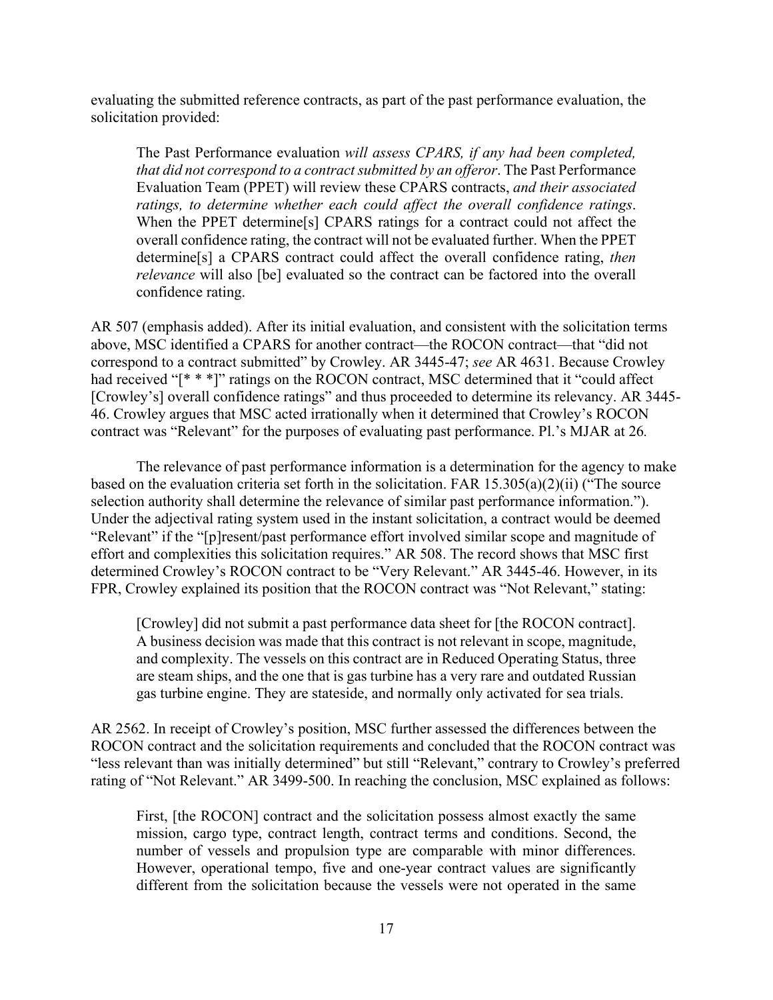evaluating the submitted reference contracts, as part of the past performance evaluation, the solicitation provided:

The Past Performance evaluation *will assess CPARS, if any had been completed, that did not correspond to a contract submitted by an offeror*. The Past Performance Evaluation Team (PPET) will review these CPARS contracts, *and their associated ratings, to determine whether each could affect the overall confidence ratings*. When the PPET determine[s] CPARS ratings for a contract could not affect the overall confidence rating, the contract will not be evaluated further. When the PPET determine[s] a CPARS contract could affect the overall confidence rating, *then relevance* will also [be] evaluated so the contract can be factored into the overall confidence rating.

AR 507 (emphasis added). After its initial evaluation, and consistent with the solicitation terms above, MSC identified a CPARS for another contract—the ROCON contract—that "did not correspond to a contract submitted" by Crowley. AR 3445-47; *see* AR 4631. Because Crowley had received "[\* \* \*]" ratings on the ROCON contract, MSC determined that it "could affect [Crowley's] overall confidence ratings" and thus proceeded to determine its relevancy. AR 3445-46. Crowley argues that MSC acted irrationally when it determined that Crowley's ROCON contract was "Relevant" for the purposes of evaluating past performance. Pl.'s MJAR at 26*.* 

The relevance of past performance information is a determination for the agency to make based on the evaluation criteria set forth in the solicitation. FAR 15.305(a)(2)(ii) ("The source selection authority shall determine the relevance of similar past performance information."). Under the adjectival rating system used in the instant solicitation, a contract would be deemed "Relevant" if the "[p]resent/past performance effort involved similar scope and magnitude of effort and complexities this solicitation requires." AR 508. The record shows that MSC first determined Crowley's ROCON contract to be "Very Relevant." AR 3445-46. However, in its FPR, Crowley explained its position that the ROCON contract was "Not Relevant," stating:

[Crowley] did not submit a past performance data sheet for [the ROCON contract]. A business decision was made that this contract is not relevant in scope, magnitude, and complexity. The vessels on this contract are in Reduced Operating Status, three are steam ships, and the one that is gas turbine has a very rare and outdated Russian gas turbine engine. They are stateside, and normally only activated for sea trials.

AR 2562. In receipt of Crowley's position, MSC further assessed the differences between the ROCON contract and the solicitation requirements and concluded that the ROCON contract was "less relevant than was initially determined" but still "Relevant," contrary to Crowley's preferred rating of "Not Relevant." AR 3499-500. In reaching the conclusion, MSC explained as follows:

First, [the ROCON] contract and the solicitation possess almost exactly the same mission, cargo type, contract length, contract terms and conditions. Second, the number of vessels and propulsion type are comparable with minor differences. However, operational tempo, five and one-year contract values are significantly different from the solicitation because the vessels were not operated in the same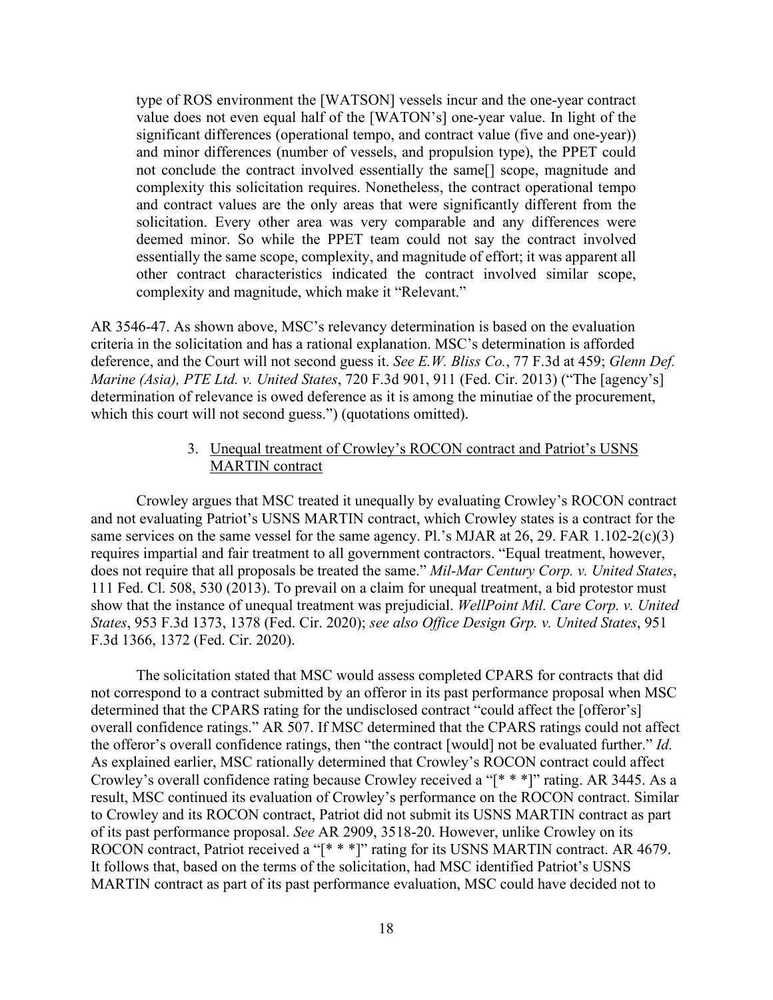type of ROS environment the [WATSON] vessels incur and the one-year contract value does not even equal half of the [WATON's] one-year value. In light of the significant differences (operational tempo, and contract value (five and one-year)) and minor differences (number of vessels, and propulsion type), the PPET could not conclude the contract involved essentially the same[] scope, magnitude and complexity this solicitation requires. Nonetheless, the contract operational tempo and contract values are the only areas that were significantly different from the solicitation. Every other area was very comparable and any differences were deemed minor. So while the PPET team could not say the contract involved essentially the same scope, complexity, and magnitude of effort; it was apparent all other contract characteristics indicated the contract involved similar scope, complexity and magnitude, which make it "Relevant."

AR 3546-47. As shown above, MSC's relevancy determination is based on the evaluation criteria in the solicitation and has a rational explanation. MSC's determination is afforded deference, and the Court will not second guess it. *See E.W. Bliss Co.*, 77 F.3d at 459; *Glenn Def. Marine (Asia), PTE Ltd. v. United States*, 720 F.3d 901, 911 (Fed. Cir. 2013) ("The [agency's] determination of relevance is owed deference as it is among the minutiae of the procurement, which this court will not second guess.") (quotations omitted).

# 3. Unequal treatment of Crowley's ROCON contract and Patriot's USNS MARTIN contract

Crowley argues that MSC treated it unequally by evaluating Crowley's ROCON contract and not evaluating Patriot's USNS MARTIN contract, which Crowley states is a contract for the same services on the same vessel for the same agency. Pl.'s MJAR at 26, 29. FAR 1.102-2(c)(3) requires impartial and fair treatment to all government contractors. "Equal treatment, however, does not require that all proposals be treated the same." *Mil-Mar Century Corp. v. United States*, 111 Fed. Cl. 508, 530 (2013). To prevail on a claim for unequal treatment, a bid protestor must show that the instance of unequal treatment was prejudicial. *WellPoint Mil. Care Corp. v. United States*, 953 F.3d 1373, 1378 (Fed. Cir. 2020); *see also Office Design Grp. v. United States*, 951 F.3d 1366, 1372 (Fed. Cir. 2020).

The solicitation stated that MSC would assess completed CPARS for contracts that did not correspond to a contract submitted by an offeror in its past performance proposal when MSC determined that the CPARS rating for the undisclosed contract "could affect the [offeror's] overall confidence ratings." AR 507. If MSC determined that the CPARS ratings could not affect the offeror's overall confidence ratings, then "the contract [would] not be evaluated further." *Id.* As explained earlier, MSC rationally determined that Crowley's ROCON contract could affect Crowley's overall confidence rating because Crowley received a "[\* \* \*]" rating. AR 3445. As a result, MSC continued its evaluation of Crowley's performance on the ROCON contract. Similar to Crowley and its ROCON contract, Patriot did not submit its USNS MARTIN contract as part of its past performance proposal. *See* AR 2909, 3518-20. However, unlike Crowley on its ROCON contract, Patriot received a "[\* \* \*]" rating for its USNS MARTIN contract. AR 4679. It follows that, based on the terms of the solicitation, had MSC identified Patriot's USNS MARTIN contract as part of its past performance evaluation, MSC could have decided not to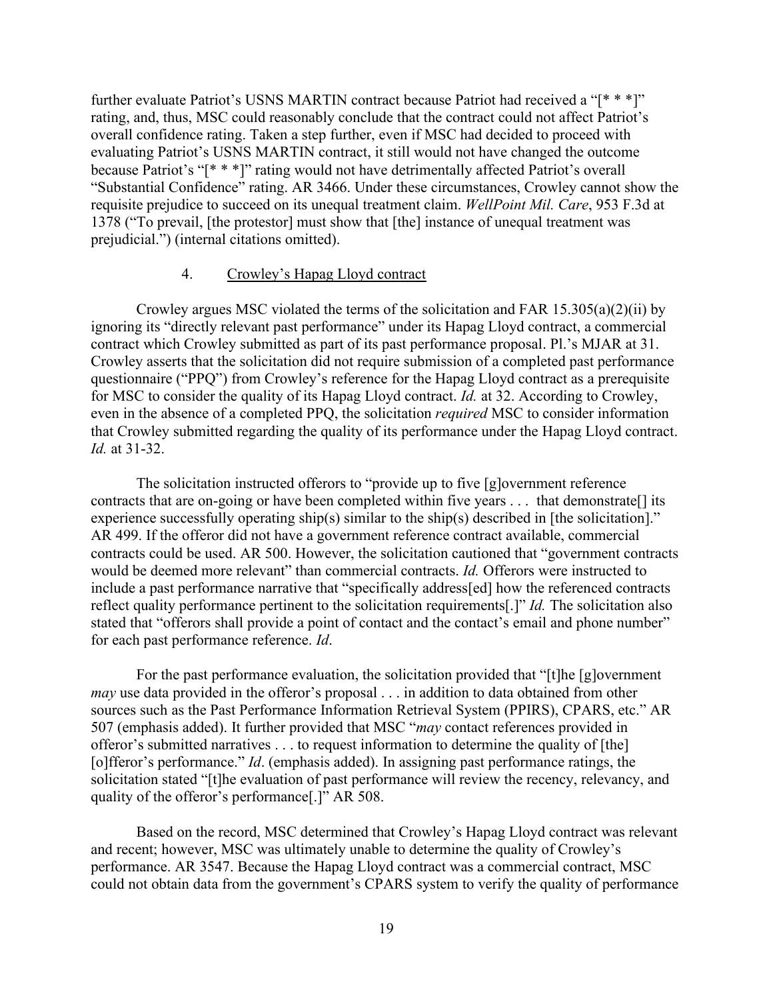further evaluate Patriot's USNS MARTIN contract because Patriot had received a "[\* \* \*]" rating, and, thus, MSC could reasonably conclude that the contract could not affect Patriot's overall confidence rating. Taken a step further, even if MSC had decided to proceed with evaluating Patriot's USNS MARTIN contract, it still would not have changed the outcome because Patriot's "[\* \* \*]" rating would not have detrimentally affected Patriot's overall "Substantial Confidence" rating. AR 3466. Under these circumstances, Crowley cannot show the requisite prejudice to succeed on its unequal treatment claim. *WellPoint Mil. Care*, 953 F.3d at 1378 ("To prevail, [the protestor] must show that [the] instance of unequal treatment was prejudicial.") (internal citations omitted).

# 4. Crowley's Hapag Lloyd contract

Crowley argues MSC violated the terms of the solicitation and FAR  $15.305(a)(2)(ii)$  by ignoring its "directly relevant past performance" under its Hapag Lloyd contract, a commercial contract which Crowley submitted as part of its past performance proposal. Pl.'s MJAR at 31. Crowley asserts that the solicitation did not require submission of a completed past performance questionnaire ("PPQ") from Crowley's reference for the Hapag Lloyd contract as a prerequisite for MSC to consider the quality of its Hapag Lloyd contract. *Id.* at 32. According to Crowley, even in the absence of a completed PPQ, the solicitation *required* MSC to consider information that Crowley submitted regarding the quality of its performance under the Hapag Lloyd contract. *Id.* at 31-32.

The solicitation instructed offerors to "provide up to five [g]overnment reference contracts that are on-going or have been completed within five years . . . that demonstrate[] its experience successfully operating ship(s) similar to the ship(s) described in [the solicitation]." AR 499. If the offeror did not have a government reference contract available, commercial contracts could be used. AR 500. However, the solicitation cautioned that "government contracts would be deemed more relevant" than commercial contracts. *Id.* Offerors were instructed to include a past performance narrative that "specifically address[ed] how the referenced contracts reflect quality performance pertinent to the solicitation requirements[.]" *Id.* The solicitation also stated that "offerors shall provide a point of contact and the contact's email and phone number" for each past performance reference. *Id*.

For the past performance evaluation, the solicitation provided that "[t]he [g]overnment *may* use data provided in the offeror's proposal . . . in addition to data obtained from other sources such as the Past Performance Information Retrieval System (PPIRS), CPARS, etc." AR 507 (emphasis added). It further provided that MSC "*may* contact references provided in offeror's submitted narratives . . . to request information to determine the quality of [the] [o]fferor's performance." *Id*. (emphasis added). In assigning past performance ratings, the solicitation stated "[t]he evaluation of past performance will review the recency, relevancy, and quality of the offeror's performance[.]" AR 508.

Based on the record, MSC determined that Crowley's Hapag Lloyd contract was relevant and recent; however, MSC was ultimately unable to determine the quality of Crowley's performance. AR 3547. Because the Hapag Lloyd contract was a commercial contract, MSC could not obtain data from the government's CPARS system to verify the quality of performance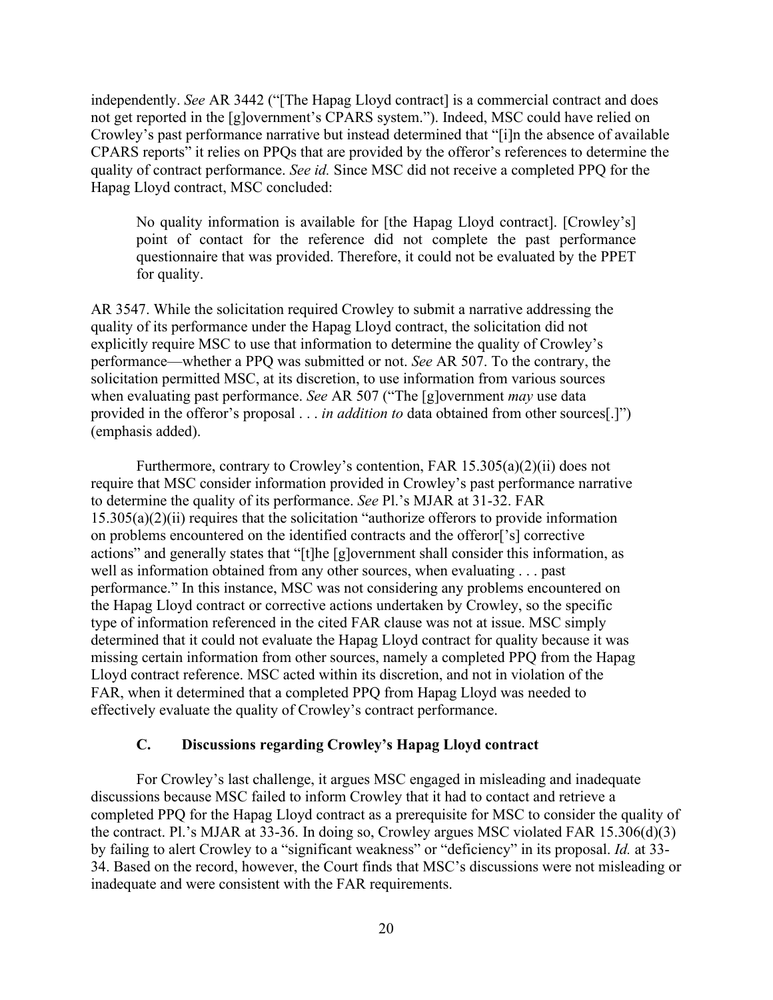independently. *See* AR 3442 ("[The Hapag Lloyd contract] is a commercial contract and does not get reported in the [g]overnment's CPARS system."). Indeed, MSC could have relied on Crowley's past performance narrative but instead determined that "[i]n the absence of available CPARS reports" it relies on PPQs that are provided by the offeror's references to determine the quality of contract performance. *See id.* Since MSC did not receive a completed PPQ for the Hapag Lloyd contract, MSC concluded:

No quality information is available for [the Hapag Lloyd contract]. [Crowley's] point of contact for the reference did not complete the past performance questionnaire that was provided. Therefore, it could not be evaluated by the PPET for quality.

AR 3547. While the solicitation required Crowley to submit a narrative addressing the quality of its performance under the Hapag Lloyd contract, the solicitation did not explicitly require MSC to use that information to determine the quality of Crowley's performance—whether a PPQ was submitted or not. *See* AR 507. To the contrary, the solicitation permitted MSC, at its discretion, to use information from various sources when evaluating past performance. *See* AR 507 ("The [g]overnment *may* use data provided in the offeror's proposal . . . *in addition to* data obtained from other sources[.]") (emphasis added).

Furthermore, contrary to Crowley's contention, FAR 15.305(a)(2)(ii) does not require that MSC consider information provided in Crowley's past performance narrative to determine the quality of its performance. *See* Pl.'s MJAR at 31-32. FAR  $15.305(a)(2)(ii)$  requires that the solicitation "authorize offerors to provide information on problems encountered on the identified contracts and the offeror['s] corrective actions" and generally states that "[t]he [g]overnment shall consider this information, as well as information obtained from any other sources, when evaluating . . . past performance." In this instance, MSC was not considering any problems encountered on the Hapag Lloyd contract or corrective actions undertaken by Crowley, so the specific type of information referenced in the cited FAR clause was not at issue. MSC simply determined that it could not evaluate the Hapag Lloyd contract for quality because it was missing certain information from other sources, namely a completed PPQ from the Hapag Lloyd contract reference. MSC acted within its discretion, and not in violation of the FAR, when it determined that a completed PPQ from Hapag Lloyd was needed to effectively evaluate the quality of Crowley's contract performance.

# **C. Discussions regarding Crowley's Hapag Lloyd contract**

For Crowley's last challenge, it argues MSC engaged in misleading and inadequate discussions because MSC failed to inform Crowley that it had to contact and retrieve a completed PPQ for the Hapag Lloyd contract as a prerequisite for MSC to consider the quality of the contract. Pl.'s MJAR at 33-36. In doing so, Crowley argues MSC violated FAR 15.306(d)(3) by failing to alert Crowley to a "significant weakness" or "deficiency" in its proposal. *Id.* at 33- 34. Based on the record, however, the Court finds that MSC's discussions were not misleading or inadequate and were consistent with the FAR requirements.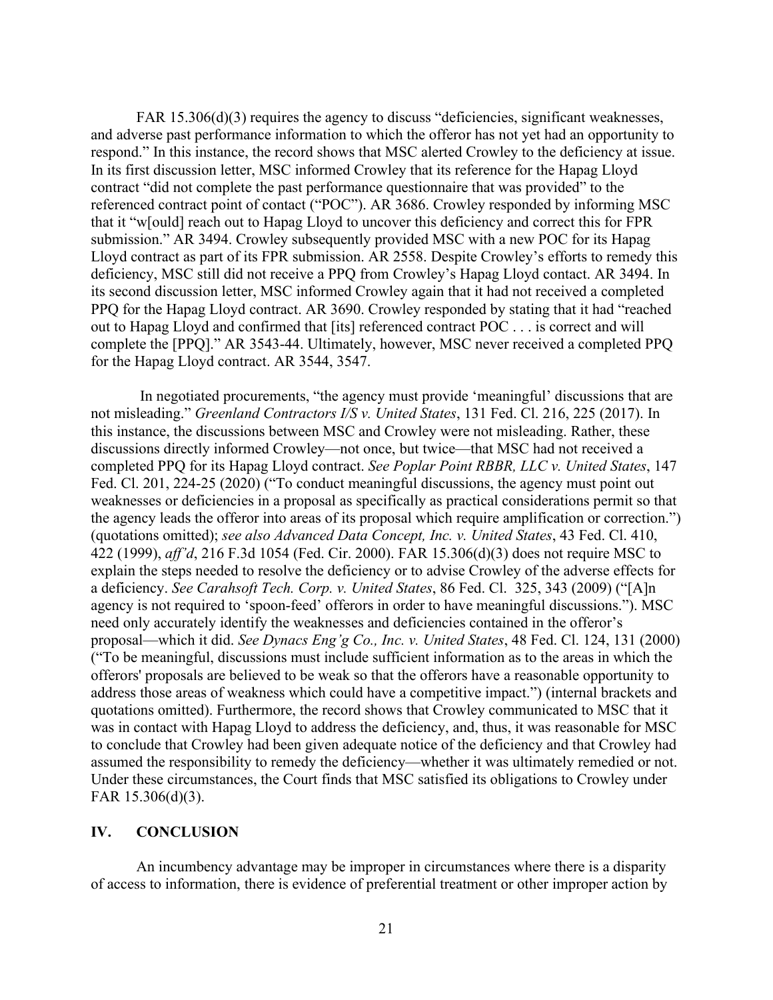FAR 15.306(d)(3) requires the agency to discuss "deficiencies, significant weaknesses, and adverse past performance information to which the offeror has not yet had an opportunity to respond." In this instance, the record shows that MSC alerted Crowley to the deficiency at issue. In its first discussion letter, MSC informed Crowley that its reference for the Hapag Lloyd contract "did not complete the past performance questionnaire that was provided" to the referenced contract point of contact ("POC"). AR 3686. Crowley responded by informing MSC that it "w[ould] reach out to Hapag Lloyd to uncover this deficiency and correct this for FPR submission." AR 3494. Crowley subsequently provided MSC with a new POC for its Hapag Lloyd contract as part of its FPR submission. AR 2558. Despite Crowley's efforts to remedy this deficiency, MSC still did not receive a PPQ from Crowley's Hapag Lloyd contact. AR 3494. In its second discussion letter, MSC informed Crowley again that it had not received a completed PPQ for the Hapag Lloyd contract. AR 3690. Crowley responded by stating that it had "reached out to Hapag Lloyd and confirmed that [its] referenced contract POC . . . is correct and will complete the [PPQ]." AR 3543-44. Ultimately, however, MSC never received a completed PPQ for the Hapag Lloyd contract. AR 3544, 3547.

In negotiated procurements, "the agency must provide 'meaningful' discussions that are not misleading." *Greenland Contractors I/S v. United States*, 131 Fed. Cl. 216, 225 (2017). In this instance, the discussions between MSC and Crowley were not misleading. Rather, these discussions directly informed Crowley—not once, but twice—that MSC had not received a completed PPQ for its Hapag Lloyd contract. *See Poplar Point RBBR, LLC v. United States*, 147 Fed. Cl. 201, 224-25 (2020) ("To conduct meaningful discussions, the agency must point out weaknesses or deficiencies in a proposal as specifically as practical considerations permit so that the agency leads the offeror into areas of its proposal which require amplification or correction.") (quotations omitted); *see also Advanced Data Concept, Inc. v. United States*, 43 Fed. Cl. 410, 422 (1999), *aff'd*, 216 F.3d 1054 (Fed. Cir. 2000). FAR 15.306(d)(3) does not require MSC to explain the steps needed to resolve the deficiency or to advise Crowley of the adverse effects for a deficiency. *See Carahsoft Tech. Corp. v. United States*, 86 Fed. Cl. 325, 343 (2009) ("[A]n agency is not required to 'spoon-feed' offerors in order to have meaningful discussions."). MSC need only accurately identify the weaknesses and deficiencies contained in the offeror's proposal—which it did. *See Dynacs Eng'g Co., Inc. v. United States*, 48 Fed. Cl. 124, 131 (2000) ("To be meaningful, discussions must include sufficient information as to the areas in which the offerors' proposals are believed to be weak so that the offerors have a reasonable opportunity to address those areas of weakness which could have a competitive impact.") (internal brackets and quotations omitted). Furthermore, the record shows that Crowley communicated to MSC that it was in contact with Hapag Lloyd to address the deficiency, and, thus, it was reasonable for MSC to conclude that Crowley had been given adequate notice of the deficiency and that Crowley had assumed the responsibility to remedy the deficiency—whether it was ultimately remedied or not. Under these circumstances, the Court finds that MSC satisfied its obligations to Crowley under FAR 15.306(d)(3).

#### **IV. CONCLUSION**

An incumbency advantage may be improper in circumstances where there is a disparity of access to information, there is evidence of preferential treatment or other improper action by